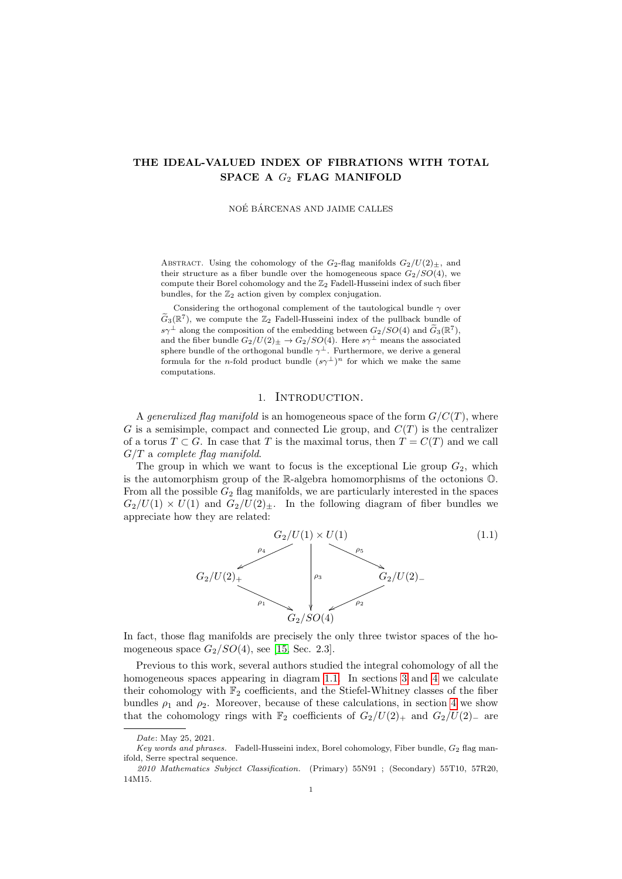# THE IDEAL-VALUED INDEX OF FIBRATIONS WITH TOTAL SPACE A  $G_2$  FLAG MANIFOLD

NOÉ BÁRCENAS AND JAIME CALLES

ABSTRACT. Using the cohomology of the  $G_2$ -flag manifolds  $G_2/U(2)_\pm$ , and their structure as a fiber bundle over the homogeneous space  $G_2/SO(4)$ , we compute their Borel cohomology and the  $\mathbb{Z}_2$  Fadell-Husseini index of such fiber bundles, for the  $\mathbb{Z}_2$  action given by complex conjugation.

Considering the orthogonal complement of the tautological bundle  $\gamma$  over  $\widetilde{G}_3(\mathbb{R}^7)$ , we compute the  $\mathbb{Z}_2$  Fadell-Husseini index of the pullback bundle of  $s\gamma^{\perp}$  along the composition of the embedding between  $G_2/SO(4)$  and  $\tilde{G}_3(\mathbb{R}^7)$ , and the fiber bundle  $G_2/U(2)_\pm \rightarrow G_2/SO(4)$ . Here  $s\gamma^{\perp}$  means the associated sphere bundle of the orthogonal bundle  $\gamma^{\perp}$ . Furthermore, we derive a general formula for the *n*-fold product bundle  $(s\gamma^{\perp})^n$  for which we make the same computations.

### 1. INTRODUCTION.

A generalized flag manifold is an homogeneous space of the form  $G/C(T)$ , where G is a semisimple, compact and connected Lie group, and  $C(T)$  is the centralizer of a torus  $T \subset G$ . In case that T is the maximal torus, then  $T = C(T)$  and we call  $G/T$  a complete flag manifold.

The group in which we want to focus is the exceptional Lie group  $G_2$ , which is the automorphism group of the R-algebra homomorphisms of the octonions O. From all the possible  $G_2$  flag manifolds, we are particularly interested in the spaces  $G_2/U(1) \times U(1)$  and  $G_2/U(2)_\pm$ . In the following diagram of fiber bundles we appreciate how they are related:

<span id="page-0-0"></span>

In fact, those flag manifolds are precisely the only three twistor spaces of the homogeneous space  $G_2/SO(4)$ , see [\[15,](#page-19-0) Sec. 2.3].

Previous to this work, several authors studied the integral cohomology of all the homogeneous spaces appearing in diagram [1.1.](#page-0-0) In sections [3](#page-4-0) and [4](#page-9-0) we calculate their cohomology with  $\mathbb{F}_2$  coefficients, and the Stiefel-Whitney classes of the fiber bundles  $\rho_1$  and  $\rho_2$ . Moreover, because of these calculations, in section [4](#page-9-0) we show that the cohomology rings with  $\mathbb{F}_2$  coefficients of  $G_2/U(2)_+$  and  $G_2/U(2)_-$  are

Date: May 25, 2021.

Key words and phrases. Fadell-Husseini index, Borel cohomology, Fiber bundle,  $G_2$  flag manifold, Serre spectral sequence.

<sup>2010</sup> Mathematics Subject Classification. (Primary) 55N91 ; (Secondary) 55T10, 57R20, 14M15.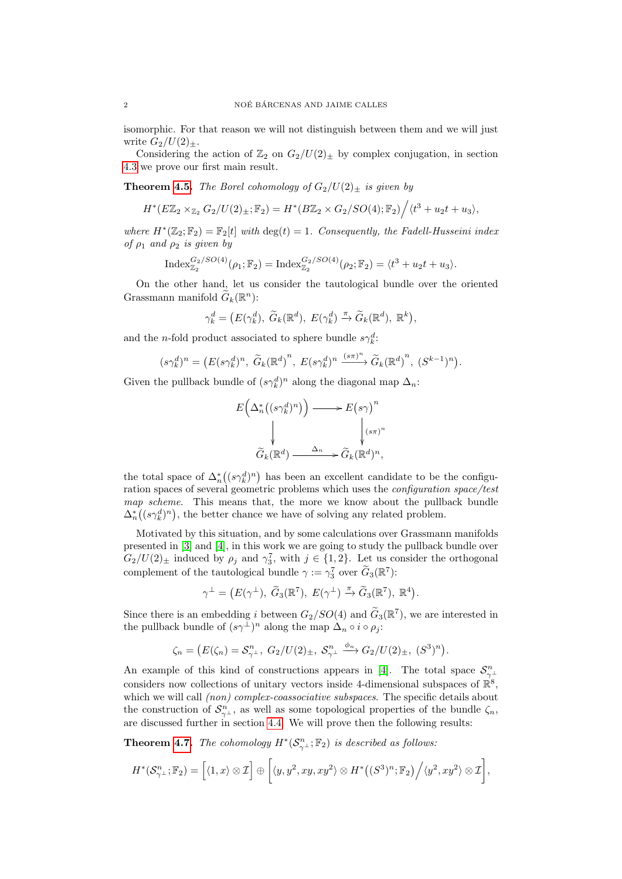isomorphic. For that reason we will not distinguish between them and we will just write  $G_2/U(2)_\pm$ .

Considering the action of  $\mathbb{Z}_2$  on  $G_2/U(2)_\pm$  by complex conjugation, in section [4.3](#page-11-0) we prove our first main result.

**Theorem [4.5.](#page-12-0)** The Borel cohomology of  $G_2/U(2)_\pm$  is given by

$$
H^*(E\mathbb{Z}_2\times_{\mathbb{Z}_2}G_2/U(2)_\pm;\mathbb{F}_2)=H^*(B\mathbb{Z}_2\times G_2/SO(4);\mathbb{F}_2)\Big/\langle t^3+u_2t+u_3\rangle,
$$

where  $H^*(\mathbb{Z}_2;\mathbb{F}_2)=\mathbb{F}_2[t]$  with  $\deg(t)=1$ . Consequently, the Fadell-Husseini index of  $\rho_1$  and  $\rho_2$  is given by

$$
\mathrm{Index}_{\mathbb{Z}_2}^{G_2/SO(4)}(\rho_1;\mathbb{F}_2)=\mathrm{Index}_{\mathbb{Z}_2}^{G_2/SO(4)}(\rho_2;\mathbb{F}_2)=\langle t^3+u_2t+u_3\rangle.
$$

On the other hand, let us consider the tautological bundle over the oriented Grassmann manifold  $\tilde{G}_k(\mathbb{R}^n)$ :

$$
\gamma_k^d = \big( E(\gamma_k^d), \ \widetilde{G}_k(\mathbb{R}^d), \ E(\gamma_k^d) \xrightarrow{\pi} \widetilde{G}_k(\mathbb{R}^d), \ \mathbb{R}^k \big),
$$

and the *n*-fold product associated to sphere bundle  $s\gamma_k^d$ :

$$
(s\gamma_k^d)^n = \left( E(s\gamma_k^d)^n, \ \widetilde{G}_k(\mathbb{R}^d)^n, \ E(s\gamma_k^d)^n \xrightarrow{(s\pi)^n} \widetilde{G}_k(\mathbb{R}^d)^n, \ (S^{k-1})^n \right).
$$

Given the pullback bundle of  $(s\gamma_k^d)^n$  along the diagonal map  $\Delta_n$ :

$$
E\left(\Delta_n^*\left((s\gamma_k^d)^n\right)\right) \longrightarrow E\left(s\gamma\right)^n
$$
  

$$
\downarrow \qquad \qquad \downarrow
$$
  

$$
\widetilde{G}_k(\mathbb{R}^d) \xrightarrow{\Delta_n} \widetilde{G}_k(\mathbb{R}^d)^n,
$$

the total space of  $\Delta_n^*((s\gamma_k^d)^n)$  has been an excellent candidate to be the configuration spaces of several geometric problems which uses the configuration space/test map scheme. This means that, the more we know about the pullback bundle  $\Delta_n^*((s\gamma_k^d)^n)$ , the better chance we have of solving any related problem.

Motivated by this situation, and by some calculations over Grassmann manifolds presented in [\[3\]](#page-19-1) and [\[4\]](#page-19-2), in this work we are going to study the pullback bundle over  $G_2/U(2)_\pm$  induced by  $\rho_j$  and  $\gamma_3^7$ , with  $j \in \{1,2\}$ . Let us consider the orthogonal complement of the tautological bundle  $\gamma := \gamma_3^7$  over  $\tilde{G}_3(\mathbb{R}^7)$ :

$$
\gamma^{\perp} = (E(\gamma^{\perp}), \ \widetilde{G}_3(\mathbb{R}^7), \ E(\gamma^{\perp}) \xrightarrow{\pi} \widetilde{G}_3(\mathbb{R}^7), \ \mathbb{R}^4).
$$

Since there is an embedding i between  $G_2/SO(4)$  and  $G_3(\mathbb{R}^7)$ , we are interested in the pullback bundle of  $(s\gamma^{\perp})^n$  along the map  $\Delta_n \circ i \circ \rho_j$ :

$$
\zeta_n = (E(\zeta_n) = S_{\gamma^{\perp}}^n, G_2/U(2)_{\pm}, S_{\gamma^{\perp}}^n \xrightarrow{\phi_n} G_2/U(2)_{\pm}, (S^3)^n).
$$

An example of this kind of constructions appears in [\[4\]](#page-19-2). The total space  $\mathcal{S}_{\gamma^{\perp}}^{n}$ considers now collections of unitary vectors inside 4-dimensional subspaces of  $\mathbb{R}^8$ , which we will call *(non)* complex-coassociative subspaces. The specific details about the construction of  $\mathcal{S}_{\gamma^{\perp}}^{n}$ , as well as some topological properties of the bundle  $\zeta_{n}$ , are discussed further in section [4.4.](#page-13-0) We will prove then the following results:

**Theorem [4.7.](#page-14-0)** The cohomology  $H^*(\mathcal{S}_{\gamma^{\perp}}^n; \mathbb{F}_2)$  is described as follows:

$$
H^*(\mathcal{S}_{\gamma^{\perp}}^n; \mathbb{F}_2) = [\langle 1, x \rangle \otimes \mathcal{I}] \oplus [\langle y, y^2, xy, xy^2 \rangle \otimes H^*((S^3)^n; \mathbb{F}_2) \Big/ \langle y^2, xy^2 \rangle \otimes \mathcal{I}],
$$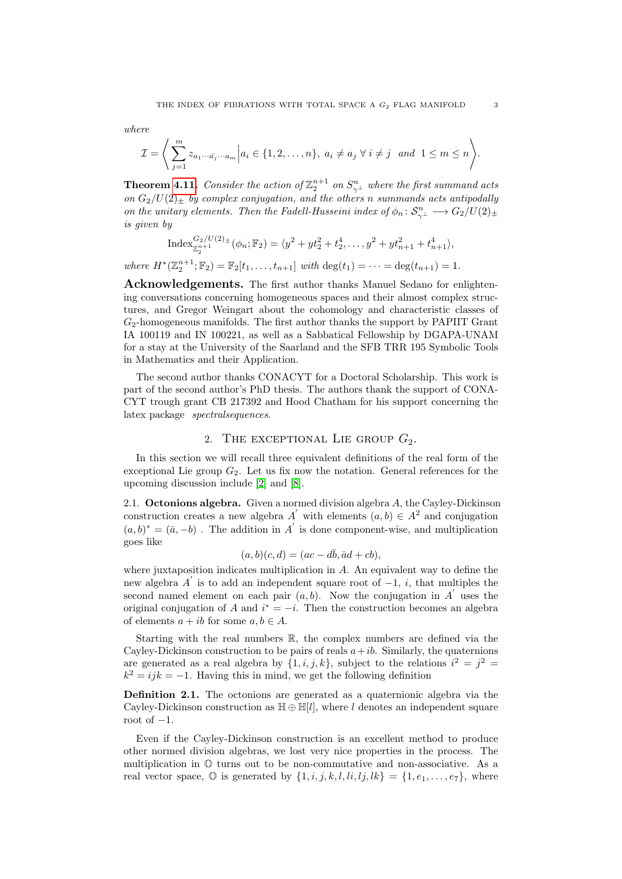where

$$
\mathcal{I} = \Bigg\langle \sum_{j=1}^m z_{a_1 \cdots \hat{a_j} \cdots a_m} \Big| a_i \in \{1, 2, \ldots, n\}, \ a_i \neq a_j \ \forall \ i \neq j \ \ and \ 1 \leq m \leq n \Bigg\rangle.
$$

**Theorem [4.11.](#page-17-0)** Consider the action of  $\mathbb{Z}_2^{n+1}$  on  $S_{\gamma}^n$  where the first summand acts on  $G_2/U(2)_\pm$  by complex conjugation, and the others n summands acts antipodally on the unitary elements. Then the Fadell-Husseini index of  $\phi_n: \mathcal{S}_{\gamma}^n \longrightarrow G_2/U(2)_\pm$ is given by

$$
\operatorname{Index}_{\mathbb{Z}_2^{n+1}}^{G_2/U(2)_\pm}(\phi_n; \mathbb{F}_2) = \langle y^2 + yt_2^2 + t_2^4, \dots, y^2 + yt_{n+1}^2 + t_{n+1}^4 \rangle,
$$

where  $H^*(\mathbb{Z}_2^{n+1}; \mathbb{F}_2) = \mathbb{F}_2[t_1, \ldots, t_{n+1}]$  with  $\deg(t_1) = \cdots = \deg(t_{n+1}) = 1$ .

Acknowledgements. The first author thanks Manuel Sedano for enlightening conversations concerning homogeneous spaces and their almost complex structures, and Gregor Weingart about the cohomology and characteristic classes of  $G_2$ -homogeneous manifolds. The first author thanks the support by PAPIIT Grant IA 100119 and IN 100221, as well as a Sabbatical Fellowship by DGAPA-UNAM for a stay at the University of the Saarland and the SFB TRR 195 Symbolic Tools in Mathematics and their Application.

The second author thanks CONACYT for a Doctoral Scholarship. This work is part of the second author's PhD thesis. The authors thank the support of CONA-CYT trough grant CB 217392 and Hood Chatham for his support concerning the latex package spectralsequences.

## 2. THE EXCEPTIONAL LIE GROUP  $G_2$ .

In this section we will recall three equivalent definitions of the real form of the exceptional Lie group  $G_2$ . Let us fix now the notation. General references for the upcoming discussion include [\[2\]](#page-19-3) and [\[8\]](#page-19-4).

2.1. Octonions algebra. Given a normed division algebra A, the Cayley-Dickinson construction creates a new algebra  $A'$  with elements  $(a, b) \in A^2$  and conjugation  $(a, b)^* = (\bar{a}, -b)$ . The addition in A' is done component-wise, and multiplication goes like

$$
(a,b)(c,d) = (ac - d\bar{b}, \bar{a}d + cb),
$$

where juxtaposition indicates multiplication in A. An equivalent way to define the new algebra  $A'$  is to add an independent square root of  $-1$ , i, that multiples the second named element on each pair  $(a, b)$ . Now the conjugation in A' uses the original conjugation of A and  $i^* = -i$ . Then the construction becomes an algebra of elements  $a + ib$  for some  $a, b \in A$ .

Starting with the real numbers R, the complex numbers are defined via the Cayley-Dickinson construction to be pairs of reals  $a+ib$ . Similarly, the quaternions are generated as a real algebra by  $\{1, i, j, k\}$ , subject to the relations  $i^2 = j^2 =$  $k^2 = ijk = -1$ . Having this in mind, we get the following definition

Definition 2.1. The octonions are generated as a quaternionic algebra via the Cayley-Dickinson construction as  $\mathbb{H} \oplus \mathbb{H}[l]$ , where l denotes an independent square root of  $-1$ .

Even if the Cayley-Dickinson construction is an excellent method to produce other normed division algebras, we lost very nice properties in the process. The multiplication in O turns out to be non-commutative and non-associative. As a real vector space,  $\mathbb{O}$  is generated by  $\{1, i, j, k, l, li, lj, lk\} = \{1, e_1, \ldots, e_7\}$ , where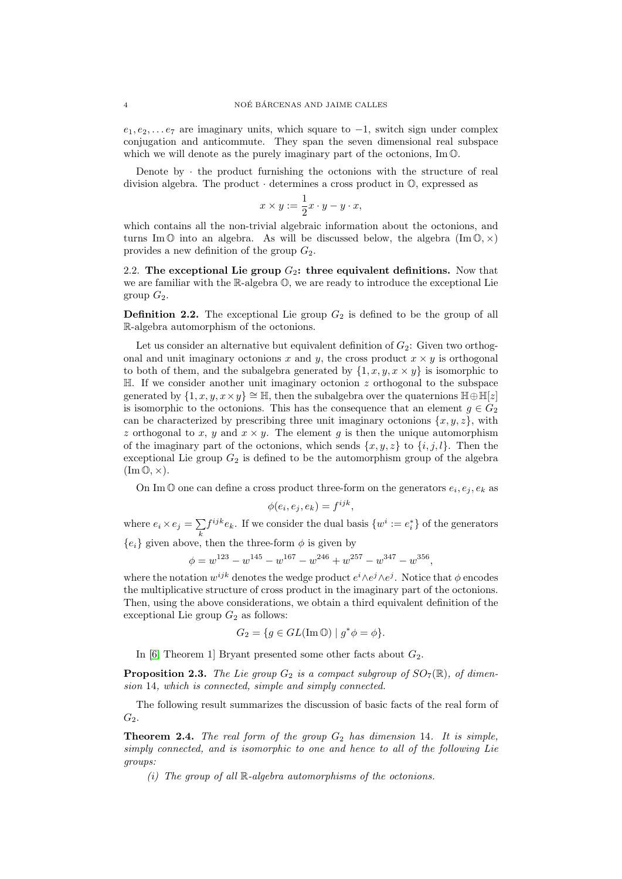$e_1, e_2, \ldots e_7$  are imaginary units, which square to  $-1$ , switch sign under complex conjugation and anticommute. They span the seven dimensional real subspace which we will denote as the purely imaginary part of the octonions, Im  $\mathbb{O}$ .

Denote by  $\cdot$  the product furnishing the octonions with the structure of real division algebra. The product · determines a cross product in O, expressed as

$$
x \times y := \frac{1}{2}x \cdot y - y \cdot x,
$$

which contains all the non-trivial algebraic information about the octonions, and turns Im  $\mathbb{O}$  into an algebra. As will be discussed below, the algebra  $(\text{Im } \mathbb{O}, \times)$ provides a new definition of the group  $G_2$ .

<span id="page-3-0"></span>2.2. The exceptional Lie group  $G_2$ : three equivalent definitions. Now that we are familiar with the R-algebra O, we are ready to introduce the exceptional Lie group  $G_2$ .

**Definition 2.2.** The exceptional Lie group  $G_2$  is defined to be the group of all R-algebra automorphism of the octonions.

Let us consider an alternative but equivalent definition of  $G_2$ : Given two orthogonal and unit imaginary octonions x and y, the cross product  $x \times y$  is orthogonal to both of them, and the subalgebra generated by  $\{1, x, y, x \times y\}$  is isomorphic to  $\mathbb{H}$ . If we consider another unit imaginary octonion z orthogonal to the subspace generated by  $\{1, x, y, x \times y\} \cong \mathbb{H}$ , then the subalgebra over the quaternions  $\mathbb{H} \oplus \mathbb{H}[z]$ is isomorphic to the octonions. This has the consequence that an element  $g \in G_2$ can be characterized by prescribing three unit imaginary octonions  $\{x, y, z\}$ , with z orthogonal to x, y and  $x \times y$ . The element g is then the unique automorphism of the imaginary part of the octonions, which sends  $\{x, y, z\}$  to  $\{i, j, l\}$ . Then the exceptional Lie group  $G_2$  is defined to be the automorphism group of the algebra  $(\text{Im}\,\mathbb{O},\times).$ 

On Im  $\mathbb O$  one can define a cross product three-form on the generators  $e_i, e_j, e_k$  as

$$
\phi(e_i, e_j, e_k) = f^{ijk},
$$

where  $e_i \times e_j = \sum_i$ k  $f^{ijk}e_k$ . If we consider the dual basis  $\{w^i := e_i^*\}$  of the generators

 ${e_i}$  given above, then the three-form  $\phi$  is given by

$$
\phi = w^{123} - w^{145} - w^{167} - w^{246} + w^{257} - w^{347} - w^{356},
$$

where the notation  $w^{ijk}$  denotes the wedge product  $e^{i\wedge e^{j}\wedge e^{j}}$ . Notice that  $\phi$  encodes the multiplicative structure of cross product in the imaginary part of the octonions. Then, using the above considerations, we obtain a third equivalent definition of the exceptional Lie group  $G_2$  as follows:

$$
G_2 = \{ g \in GL(\text{Im}\,\mathbb{O}) \mid g^*\phi = \phi \}.
$$

In [\[6,](#page-19-5) Theorem 1] Bryant presented some other facts about  $G_2$ .

**Proposition 2.3.** The Lie group  $G_2$  is a compact subgroup of  $SO_7(\mathbb{R})$ , of dimension 14, which is connected, simple and simply connected.

The following result summarizes the discussion of basic facts of the real form of  $G_2$ .

<span id="page-3-1"></span>**Theorem 2.4.** The real form of the group  $G_2$  has dimension 14. It is simple, simply connected, and is isomorphic to one and hence to all of the following Lie groups:

(i) The group of all  $\mathbb{R}$ -algebra automorphisms of the octonions.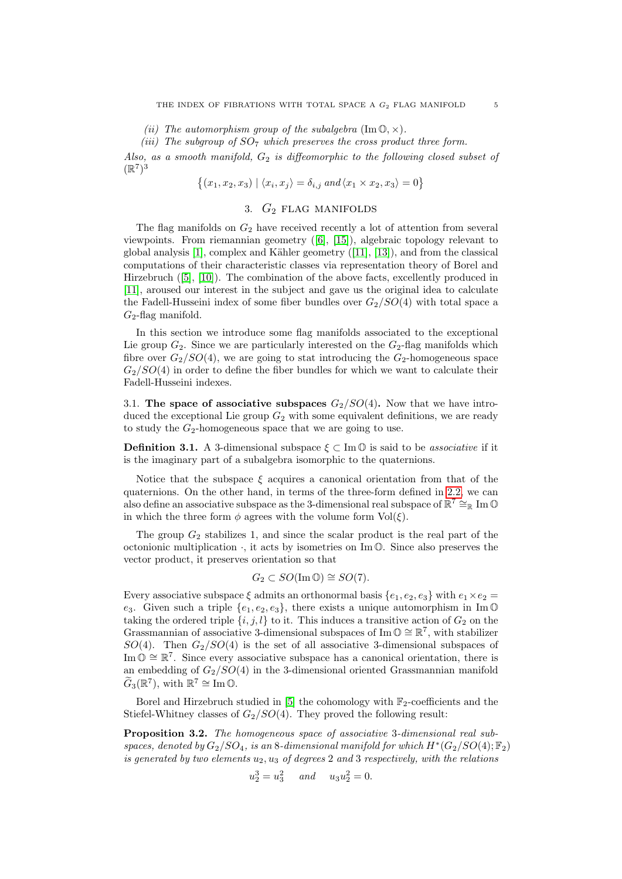(ii) The automorphism group of the subalgebra  $(\text{Im}\,\mathbb{O}, \times)$ .

(iii) The subgroup of  $SO<sub>7</sub>$  which preserves the cross product three form.

Also, as a smooth manifold,  $G_2$  is diffeomorphic to the following closed subset of  $(\mathbb{R}^7)^3$ 

$$
\{(x_1,x_2,x_3) \mid \langle x_i,x_j \rangle = \delta_{i,j} \text{ and } \langle x_1 \times x_2,x_3 \rangle = 0\}
$$

# 3.  $G_2$  FLAG MANIFOLDS

<span id="page-4-0"></span>The flag manifolds on  $G_2$  have received recently a lot of attention from several viewpoints. From riemannian geometry ([\[6\]](#page-19-5), [\[15\]](#page-19-0)), algebraic topology relevant to global analysis  $[1]$ , complex and Kähler geometry  $([11], [13])$  $([11], [13])$  $([11], [13])$  $([11], [13])$  $([11], [13])$ , and from the classical computations of their characteristic classes via representation theory of Borel and Hirzebruch ([\[5\]](#page-19-9), [\[10\]](#page-19-10)). The combination of the above facts, excellently produced in [\[11\]](#page-19-7), aroused our interest in the subject and gave us the original idea to calculate the Fadell-Husseini index of some fiber bundles over  $G_2/SO(4)$  with total space a  $G_2$ -flag manifold.

In this section we introduce some flag manifolds associated to the exceptional Lie group  $G_2$ . Since we are particularly interested on the  $G_2$ -flag manifolds which fibre over  $G_2/SO(4)$ , we are going to stat introducing the  $G_2$ -homogeneous space  $G_2/SO(4)$  in order to define the fiber bundles for which we want to calculate their Fadell-Husseini indexes.

3.1. The space of associative subspaces  $G_2/SO(4)$ . Now that we have introduced the exceptional Lie group  $G_2$  with some equivalent definitions, we are ready to study the  $G_2$ -homogeneous space that we are going to use.

**Definition 3.1.** A 3-dimensional subspace  $\xi \subset \text{Im } \mathbb{O}$  is said to be *associative* if it is the imaginary part of a subalgebra isomorphic to the quaternions.

Notice that the subspace  $\xi$  acquires a canonical orientation from that of the quaternions. On the other hand, in terms of the three-form defined in [2.2,](#page-3-0) we can also define an associative subspace as the 3-dimensional real subspace of  $\mathbb{R}^7 \cong_{\mathbb{R}} \text{Im}\,\mathbb{O}$ in which the three form  $\phi$  agrees with the volume form  $Vol(\xi)$ .

The group  $G_2$  stabilizes 1, and since the scalar product is the real part of the octonionic multiplication  $\cdot$ , it acts by isometries on Im  $\mathbb{O}$ . Since also preserves the vector product, it preserves orientation so that

$$
G_2 \subset SO(\operatorname{Im} \mathbb{O}) \cong SO(7).
$$

Every associative subspace  $\xi$  admits an orthonormal basis  $\{e_1, e_2, e_3\}$  with  $e_1 \times e_2 =$ e<sub>3</sub>. Given such a triple  $\{e_1, e_2, e_3\}$ , there exists a unique automorphism in Im  $\mathbb{O}$ taking the ordered triple  $\{i, j, l\}$  to it. This induces a transitive action of  $G_2$  on the Grassmannian of associative 3-dimensional subspaces of Im  $\mathbb{O} \cong \mathbb{R}^7$ , with stabilizer  $SO(4)$ . Then  $G_2/SO(4)$  is the set of all associative 3-dimensional subspaces of Im  $\mathbb{O} \cong \mathbb{R}^7$ . Since every associative subspace has a canonical orientation, there is an embedding of  $G_2/SO(4)$  in the 3-dimensional oriented Grassmannian manifold  $\tilde{G}_3(\mathbb{R}^7)$ , with  $\mathbb{R}^7 \cong \text{Im}\,\mathbb{O}$ .

Borel and Hirzebruch studied in [\[5\]](#page-19-9) the cohomology with  $\mathbb{F}_2$ -coefficients and the Stiefel-Whitney classes of  $G_2/SO(4)$ . They proved the following result:

<span id="page-4-1"></span>Proposition 3.2. The homogeneous space of associative 3-dimensional real subspaces, denoted by  $G_2/SO_4$ , is an 8-dimensional manifold for which  $H^*(G_2/SO(4); \mathbb{F}_2)$ is generated by two elements  $u_2, u_3$  of degrees 2 and 3 respectively, with the relations

$$
u_2^3 = u_3^2 \quad \text{and} \quad u_3 u_2^2 = 0.
$$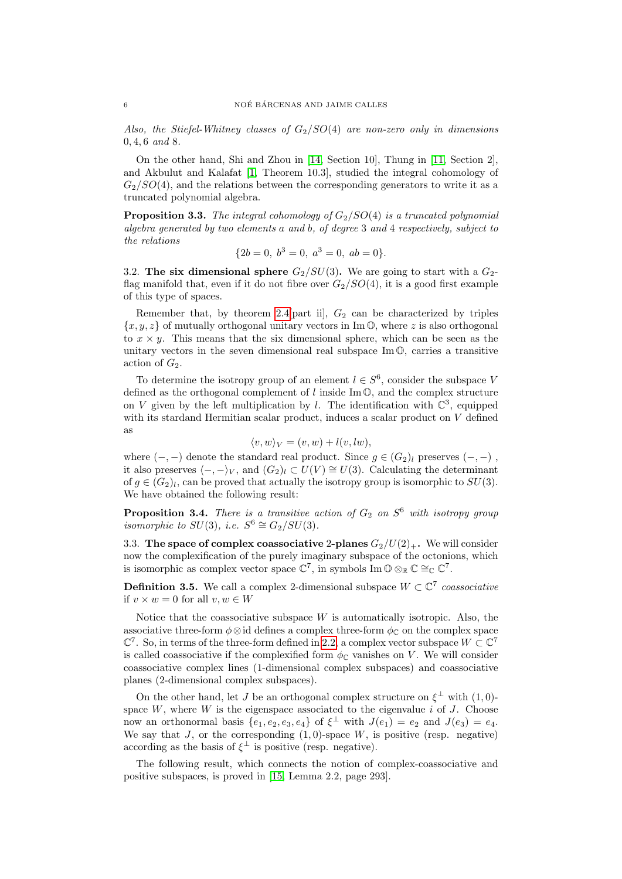Also, the Stiefel-Whitney classes of  $G_2/SO(4)$  are non-zero only in dimensions 0, 4, 6 and 8.

On the other hand, Shi and Zhou in [\[14,](#page-19-11) Section 10], Thung in [\[11,](#page-19-7) Section 2], and Akbulut and Kalafat [\[1,](#page-19-6) Theorem 10.3], studied the integral cohomology of  $G_2/SO(4)$ , and the relations between the corresponding generators to write it as a truncated polynomial algebra.

**Proposition 3.3.** The integral cohomology of  $G_2/SO(4)$  is a truncated polynomial algebra generated by two elements a and b, of degree 3 and 4 respectively, subject to the relations

$$
{2b = 0, b3 = 0, a3 = 0, ab = 0}.
$$

3.2. The six dimensional sphere  $G_2/SU(3)$ . We are going to start with a  $G_2$ flag manifold that, even if it do not fibre over  $G_2/SO(4)$ , it is a good first example of this type of spaces.

Remember that, by theorem [2.4\[](#page-3-1)part ii],  $G_2$  can be characterized by triples  ${x, y, z}$  of mutually orthogonal unitary vectors in Im  $\mathbb{O}$ , where z is also orthogonal to  $x \times y$ . This means that the six dimensional sphere, which can be seen as the unitary vectors in the seven dimensional real subspace Im O, carries a transitive action of  $G_2$ .

To determine the isotropy group of an element  $l \in S^6$ , consider the subspace V defined as the orthogonal complement of  $l$  inside Im  $\mathbb{O}$ , and the complex structure on V given by the left multiplication by l. The identification with  $\mathbb{C}^3$ , equipped with its stardand Hermitian scalar product, induces a scalar product on V defined as

$$
\langle v, w \rangle_V = (v, w) + l(v, lw),
$$

where  $(-, -)$  denote the standard real product. Since  $g \in (G_2)_l$  preserves  $(-, -)$ , it also preserves  $\langle -, -\rangle_V$ , and  $(G_2)_l \subset U(V) \cong U(3)$ . Calculating the determinant of  $g \in (G_2)_l$ , can be proved that actually the isotropy group is isomorphic to  $SU(3)$ . We have obtained the following result:

**Proposition 3.4.** There is a transitive action of  $G_2$  on  $S^6$  with isotropy group isomorphic to  $SU(3)$ , i.e.  $S^6 \cong G_2/SU(3)$ .

<span id="page-5-0"></span>3.3. The space of complex coassociative 2-planes  $G_2/U(2)_+$ . We will consider now the complexification of the purely imaginary subspace of the octonions, which is isomorphic as complex vector space  $\mathbb{C}^7$ , in symbols Im  $\mathbb{O} \otimes_{\mathbb{R}} \mathbb{C} \cong_{\mathbb{C}} \mathbb{C}^7$ .

**Definition 3.5.** We call a complex 2-dimensional subspace  $W \subset \mathbb{C}^7$  coassociative if  $v \times w = 0$  for all  $v, w \in W$ 

Notice that the coassociative subspace  $W$  is automatically isotropic. Also, the associative three-form  $\phi \otimes id$  defines a complex three-form  $\phi_{\mathbb{C}}$  on the complex space  $\mathbb{C}^7$ . So, in terms of the three-form defined in [2.2,](#page-3-0) a complex vector subspace  $W \subset \mathbb{C}^7$ is called coassociative if the complexified form  $\phi_{\mathbb{C}}$  vanishes on V. We will consider coassociative complex lines (1-dimensional complex subspaces) and coassociative planes (2-dimensional complex subspaces).

On the other hand, let J be an orthogonal complex structure on  $\xi^{\perp}$  with  $(1,0)$ space  $W$ , where  $W$  is the eigenspace associated to the eigenvalue  $i$  of  $J$ . Choose now an orthonormal basis  $\{e_1, e_2, e_3, e_4\}$  of  $\xi^{\perp}$  with  $J(e_1) = e_2$  and  $J(e_3) = e_4$ . We say that  $J$ , or the corresponding  $(1,0)$ -space  $W$ , is positive (resp. negative) according as the basis of  $\xi^{\perp}$  is positive (resp. negative).

The following result, which connects the notion of complex-coassociative and positive subspaces, is proved in [\[15,](#page-19-0) Lemma 2.2, page 293].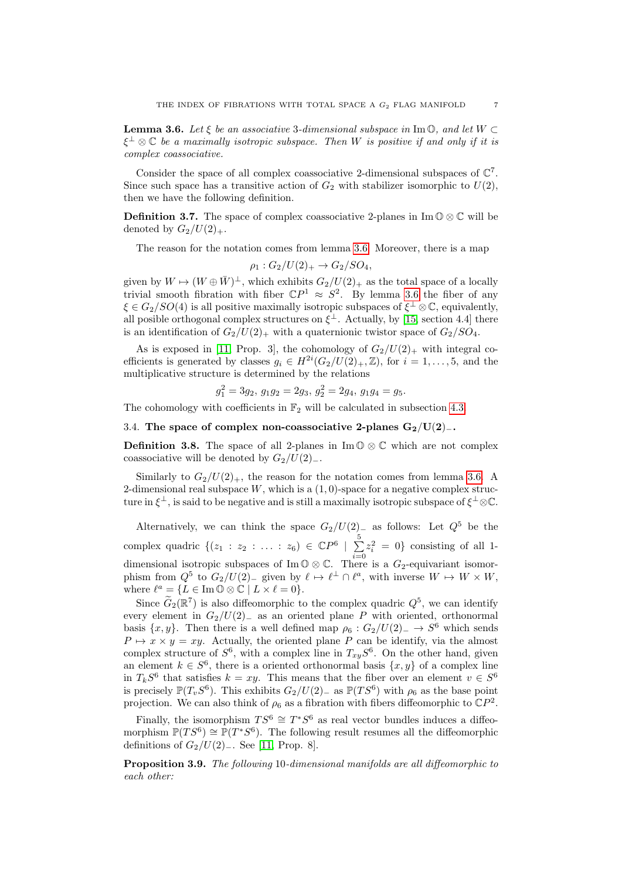<span id="page-6-0"></span>**Lemma 3.6.** Let  $\xi$  be an associative 3-dimensional subspace in Im  $\mathbb{O}$ , and let  $W \subset$  $\xi^{\perp}\otimes\mathbb{C}$  be a maximally isotropic subspace. Then  $W$  is positive if and only if it is complex coassociative.

Consider the space of all complex coassociative 2-dimensional subspaces of  $\mathbb{C}^7$ . Since such space has a transitive action of  $G_2$  with stabilizer isomorphic to  $U(2)$ , then we have the following definition.

**Definition 3.7.** The space of complex coassociative 2-planes in  $\text{Im } \mathbb{O} \otimes \mathbb{C}$  will be denoted by  $G_2/U(2)_+.$ 

The reason for the notation comes from lemma [3.6.](#page-6-0) Moreover, there is a map

$$
\rho_1: G_2/U(2)_+ \to G_2/SO_4,
$$

given by  $W \mapsto (W \oplus \bar{W})^{\perp}$ , which exhibits  $G_2/U(2)_{+}$  as the total space of a locally trivial smooth fibration with fiber  $\mathbb{C}P^1 \approx S^2$ . By lemma [3.6](#page-6-0) the fiber of any  $\xi \in G_2/SO(4)$  is all positive maximally isotropic subspaces of  $\xi^{\perp} \otimes \mathbb{C}$ , equivalently, all posible orthogonal complex structures on  $\xi^{\perp}$ . Actually, by [\[15,](#page-19-0) section 4.4] there is an identification of  $G_2/U(2)_+$  with a quaternionic twistor space of  $G_2/SO_4$ .

As is exposed in [\[11,](#page-19-7) Prop. 3], the cohomology of  $G_2/U(2)_+$  with integral coefficients is generated by classes  $g_i \in H^{2i}(G_2/U(2)_+, \mathbb{Z})$ , for  $i = 1, \ldots, 5$ , and the multiplicative structure is determined by the relations

$$
g_1^2 = 3g_2, \, g_1g_2 = 2g_3, \, g_2^2 = 2g_4, \, g_1g_4 = g_5.
$$

The cohomology with coefficients in  $\mathbb{F}_2$  will be calculated in subsection [4.3.](#page-11-0)

#### <span id="page-6-1"></span>3.4. The space of complex non-coassociative 2-planes  $G_2/U(2)_-.$

**Definition 3.8.** The space of all 2-planes in  $\text{Im } \mathbb{O} \otimes \mathbb{C}$  which are not complex coassociative will be denoted by  $G_2/U(2)_-.$ 

Similarly to  $G_2/U(2)_+$ , the reason for the notation comes from lemma [3.6.](#page-6-0) A 2-dimensional real subspace W, which is a  $(1, 0)$ -space for a negative complex structure in  $\xi^{\perp}$ , is said to be negative and is still a maximally isotropic subspace of  $\xi^{\perp} \otimes \mathbb{C}$ .

Alternatively, we can think the space  $G_2/U(2)$ <sub>—</sub> as follows: Let  $Q^5$  be the complex quadric  $\{(z_1 : z_2 : \ldots : z_6) \in \mathbb{C}P^6 \mid \sum_{i=1}^{5}$  $i=0$  $z_i^2 = 0$ } consisting of all 1dimensional isotropic subspaces of Im  $\mathbb{O} \otimes \mathbb{C}$ . There is a  $G_2$ -equivariant isomorphism from  $Q^5$  to  $G_2/U(2)$ <sub>-</sub> given by  $\ell \mapsto \ell^{\perp} \cap \ell^a$ , with inverse  $W \mapsto W \times W$ , where  $\ell^a = \{L \in \text{Im}\,\mathbb{O} \otimes \mathbb{C} \mid L \times \ell = 0\}.$ 

Since  $\widehat{G}_2(\mathbb{R}^7)$  is also diffeomorphic to the complex quadric  $Q^5$ , we can identify every element in  $G_2/U(2)$  as an oriented plane P with oriented, orthonormal basis  $\{x, y\}$ . Then there is a well defined map  $\rho_6 : G_2/U(2) \to S^6$  which sends  $P \mapsto x \times y = xy$ . Actually, the oriented plane P can be identify, via the almost complex structure of  $S^6$ , with a complex line in  $T_{xy}S^6$ . On the other hand, given an element  $k \in S^6$ , there is a oriented orthonormal basis  $\{x, y\}$  of a complex line in  $T_kS^6$  that satisfies  $k = xy$ . This means that the fiber over an element  $v \in S^6$ is precisely  $\mathbb{P}(T_vS^6)$ . This exhibits  $G_2/U(2)$  as  $\mathbb{P}(TS^6)$  with  $\rho_6$  as the base point projection. We can also think of  $\rho_6$  as a fibration with fibers diffeomorphic to  $\mathbb{C}P^2$ .

Finally, the isomorphism  $TS^6 \cong T^*S^6$  as real vector bundles induces a diffeomorphism  $\mathbb{P}(TS^6) \cong \mathbb{P}(T^*S^6)$ . The following result resumes all the diffeomorphic definitions of  $G_2/U(2)$ <sub>−</sub>. See [\[11,](#page-19-7) Prop. 8].

Proposition 3.9. The following 10-dimensional manifolds are all diffeomorphic to each other: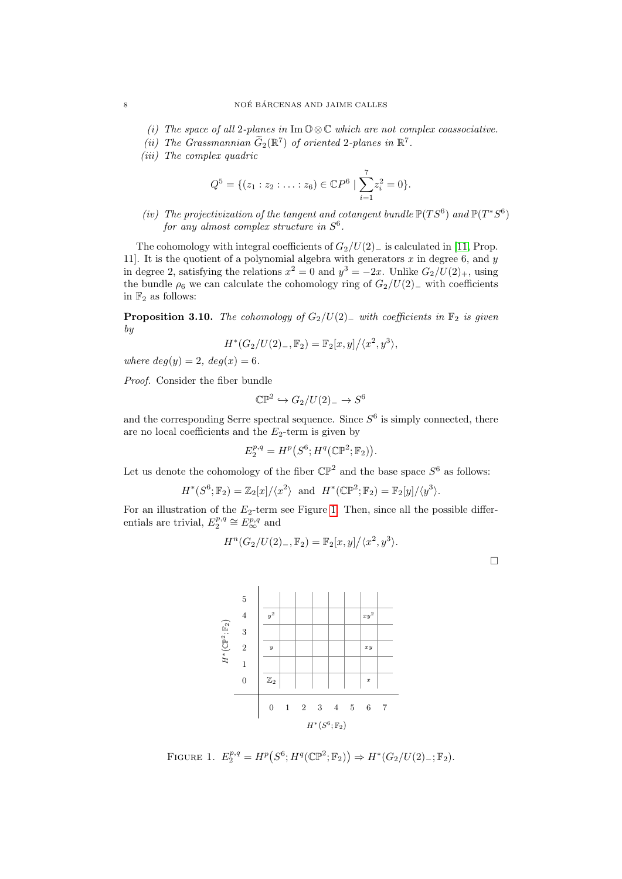- (i) The space of all 2-planes in Im  $\mathbb{O} \otimes \mathbb{C}$  which are not complex coassociative.
- (ii) The Grassmannian  $G_2(\mathbb{R}^7)$  of oriented 2-planes in  $\mathbb{R}^7$ .
- (iii) The complex quadric

$$
Q^{5} = \{ (z_1 : z_2 : \ldots : z_6) \in \mathbb{C}P^6 \mid \sum_{i=1}^{7} z_i^2 = 0 \}.
$$

(iv) The projectivization of the tangent and cotangent bundle  $\mathbb{P}(TS^6)$  and  $\mathbb{P}(T^*S^6)$ for any almost complex structure in  $S^6$ .

The cohomology with integral coefficients of  $G_2/U(2)_-$  is calculated in [\[11,](#page-19-7) Prop. 11]. It is the quotient of a polynomial algebra with generators  $x$  in degree 6, and  $y$ in degree 2, satisfying the relations  $x^2 = 0$  and  $y^3 = -2x$ . Unlike  $G_2/U(2)_+$ , using the bundle  $\rho_6$  we can calculate the cohomology ring of  $G_2/U(2)_-$  with coefficients in  $\mathbb{F}_2$  as follows:

<span id="page-7-1"></span>**Proposition 3.10.** The cohomology of  $G_2/U(2)_-$  with coefficients in  $\mathbb{F}_2$  is given by

$$
H^*(G_2/U(2)_{-}, \mathbb{F}_2) = \mathbb{F}_2[x, y]/\langle x^2, y^3 \rangle,
$$

where  $deg(y) = 2$ ,  $deg(x) = 6$ .

Proof. Consider the fiber bundle

$$
\mathbb{CP}^2 \hookrightarrow G_2/U(2)_- \to S^6
$$

and the corresponding Serre spectral sequence. Since  $S^6$  is simply connected, there are no local coefficients and the  $E_2$ -term is given by

$$
E_2^{p,q} = H^p(S^6; H^q(\mathbb{CP}^2; \mathbb{F}_2)).
$$

Let us denote the cohomology of the fiber  $\mathbb{CP}^2$  and the base space  $S^6$  as follows:

$$
H^*(S^6; \mathbb{F}_2) = \mathbb{Z}_2[x]/\langle x^2 \rangle \text{ and } H^*(\mathbb{CP}^2; \mathbb{F}_2) = \mathbb{F}_2[y]/\langle y^3 \rangle.
$$

<span id="page-7-0"></span>For an illustration of the  $E_2$ -term see Figure [1.](#page-7-0) Then, since all the possible differentials are trivial,  $E_2^{p,q} \cong E_{\infty}^{p,q}$  and

$$
H^{n}(G_2/U(2)_{-}, \mathbb{F}_2) = \mathbb{F}_2[x, y]/\langle x^2, y^3 \rangle.
$$

 $\Box$ 



FIGURE 1.  $E_2^{p,q} = H^p(S^6; H^q(\mathbb{CP}^2; \mathbb{F}_2)) \Rightarrow H^*(G_2/U(2)_-; \mathbb{F}_2).$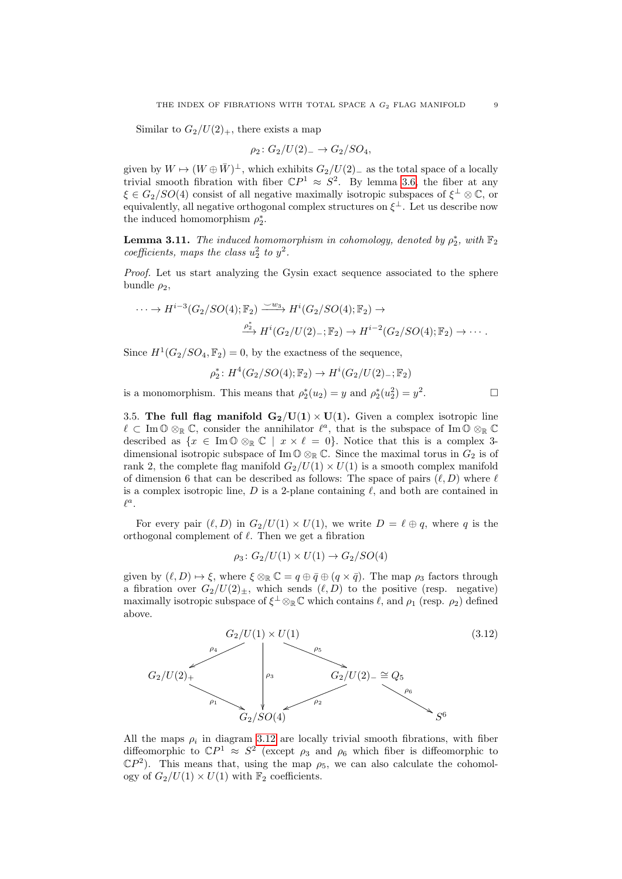Similar to  $G_2/U(2)_+$ , there exists a map

$$
\rho_2 \colon G_2/U(2)_- \to G_2/SO_4,
$$

given by  $W \mapsto (W \oplus \bar{W})^{\perp}$ , which exhibits  $G_2/U(2)$ <sub>−</sub> as the total space of a locally trivial smooth fibration with fiber  $\mathbb{C}P^1 \approx S^2$ . By lemma [3.6,](#page-6-0) the fiber at any  $\xi \in G_2/SO(4)$  consist of all negative maximally isotropic subspaces of  $\xi^{\perp} \otimes \mathbb{C}$ , or equivalently, all negative orthogonal complex structures on  $\xi^{\perp}$ . Let us describe now the induced homomorphism  $\rho_2^*$ .

<span id="page-8-1"></span>**Lemma 3.11.** The induced homomorphism in cohomology, denoted by  $\rho_2^*$ , with  $\mathbb{F}_2$ coefficients, maps the class  $u_2^2$  to  $y^2$ .

Proof. Let us start analyzing the Gysin exact sequence associated to the sphere bundle  $\rho_2$ ,

$$
\cdots \to H^{i-3}(G_2/SO(4); \mathbb{F}_2) \xrightarrow{\smile w_3} H^i(G_2/SO(4); \mathbb{F}_2) \to
$$
  

$$
\xrightarrow{\rho_2^*} H^i(G_2/U(2)_-; \mathbb{F}_2) \to H^{i-2}(G_2/SO(4); \mathbb{F}_2) \to \cdots.
$$

Since  $H^1(G_2/SO_4, \mathbb{F}_2) = 0$ , by the exactness of the sequence,

$$
\rho_2^* \colon H^4(G_2/SO(4); \mathbb{F}_2) \to H^i(G_2/U(2)_-; \mathbb{F}_2)
$$

is a monomorphism. This means that  $\rho_2^*(u_2) = y$  and  $\rho_2^*(u_2^2) = y^2$ 

3.5. The full flag manifold  $G_2/U(1) \times U(1)$ . Given a complex isotropic line  $\ell \subset \text{Im } \mathbb{O} \otimes_{\mathbb{R}} \mathbb{C}$ , consider the annihilator  $\ell^a$ , that is the subspace of Im  $\mathbb{O} \otimes_{\mathbb{R}} \mathbb{C}$ described as  $\{x \in \text{Im } \mathbb{O} \otimes_{\mathbb{R}} \mathbb{C} \mid x \times \ell = 0\}.$  Notice that this is a complex 3dimensional isotropic subspace of Im  $\mathbb{O} \otimes_{\mathbb{R}} \mathbb{C}$ . Since the maximal torus in  $G_2$  is of rank 2, the complete flag manifold  $G_2/U(1) \times U(1)$  is a smooth complex manifold of dimension 6 that can be described as follows: The space of pairs  $(\ell, D)$  where  $\ell$ is a complex isotropic line, D is a 2-plane containing  $\ell$ , and both are contained in  $\ell^a.$ 

For every pair  $(\ell, D)$  in  $G_2/U(1) \times U(1)$ , we write  $D = \ell \oplus q$ , where q is the orthogonal complement of  $\ell$ . Then we get a fibration

$$
\rho_3\colon G_2/U(1)\times U(1)\to G_2/SO(4)
$$

given by  $(\ell, D) \mapsto \xi$ , where  $\xi \otimes_{\mathbb{R}} \mathbb{C} = q \oplus \overline{q} \oplus (q \times \overline{q})$ . The map  $\rho_3$  factors through a fibration over  $G_2/U(2)_+$ , which sends  $(\ell, D)$  to the positive (resp. negative) maximally isotropic subspace of  $\xi^{\perp} \otimes_{\mathbb{R}} \mathbb{C}$  which contains  $\ell$ , and  $\rho_1$  (resp.  $\rho_2$ ) defined above.

<span id="page-8-0"></span>

All the maps  $\rho_i$  in diagram [3.12](#page-8-0) are locally trivial smooth fibrations, with fiber diffeomorphic to  $\mathbb{C}P^1 \approx S^2$  (except  $\rho_3$  and  $\rho_6$  which fiber is diffeomorphic to  $\mathbb{C}P^2$ ). This means that, using the map  $\rho_5$ , we can also calculate the cohomology of  $G_2/U(1) \times U(1)$  with  $\mathbb{F}_2$  coefficients.

 $\Box$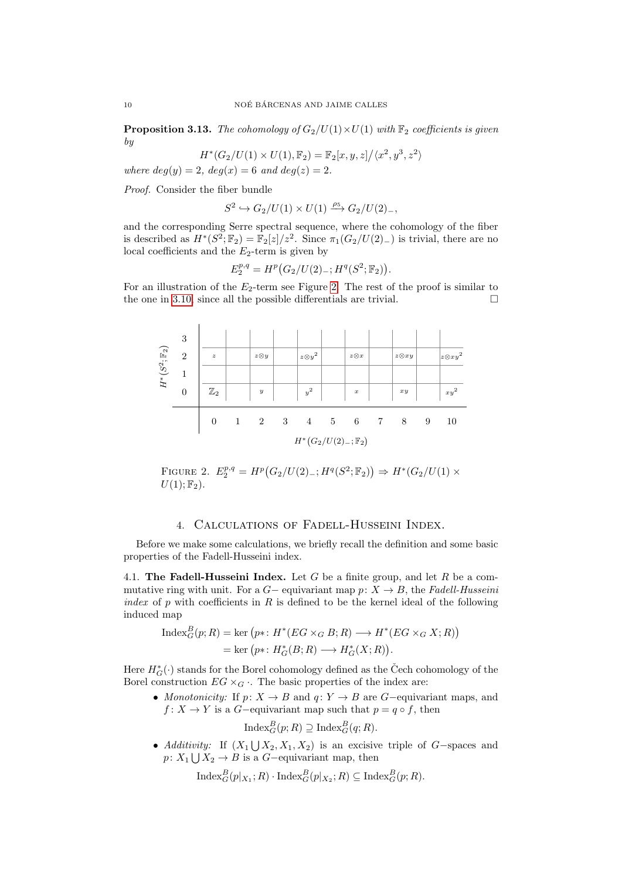**Proposition 3.13.** The cohomology of  $G_2/U(1) \times U(1)$  with  $\mathbb{F}_2$  coefficients is given by

$$
H^*(G_2/U(1)\times U(1),\mathbb{F}_2)=\mathbb{F}_2[x,y,z]\big/\langle x^2,y^3,z^2\rangle
$$

where  $deg(y) = 2$ ,  $deg(x) = 6$  and  $deg(z) = 2$ .

Proof. Consider the fiber bundle

 $S^2 \hookrightarrow G_2/U(1) \times U(1) \stackrel{\rho_5}{\longrightarrow} G_2/U(2)_{-},$ 

and the corresponding Serre spectral sequence, where the cohomology of the fiber is described as  $H^*(S^2; \mathbb{F}_2) = \mathbb{F}_2[z]/z^2$ . Since  $\pi_1(G_2/U(2)_-)$  is trivial, there are no local coefficients and the  $E_2$ -term is given by

$$
E_2^{p,q} = H^p(G_2/U(2)_{-}; H^q(S^2; \mathbb{F}_2)).
$$

For an illustration of the  $E_2$ -term see Figure [2.](#page-9-1) The rest of the proof is similar to the one in [3.10,](#page-7-1) since all the possible differentials are trivial.  $\Box$ 

<span id="page-9-1"></span>

FIGURE 2.  $E_2^{p,q} = H^p(G_2/U(2) -; H^q(S^2; \mathbb{F}_2)) \Rightarrow H^*(G_2/U(1) \times$  $U(1); \mathbb{F}_2$ .

## 4. Calculations of Fadell-Husseini Index.

<span id="page-9-0"></span>Before we make some calculations, we briefly recall the definition and some basic properties of the Fadell-Husseini index.

4.1. The Fadell-Husseini Index. Let G be a finite group, and let R be a commutative ring with unit. For a  $G-$  equivariant map  $p: X \to B$ , the Fadell-Husseini index of p with coefficients in R is defined to be the kernel ideal of the following induced map

$$
\begin{aligned} \text{Index}_G^B(p;R) &= \text{ker}\left(p^*\colon H^*(EG \times_G B; R)\longrightarrow H^*(EG \times_G X; R)\right) \\ &= \text{ker}\left(p^*\colon H^*_G(B; R)\longrightarrow H^*_G(X; R)\right). \end{aligned}
$$

Here  $H_G^*(\cdot)$  stands for the Borel cohomology defined as the Čech cohomology of the Borel construction  $EG \times_G$ . The basic properties of the index are:

• Monotonicity: If  $p: X \to B$  and  $q: Y \to B$  are G-equivariant maps, and  $f: X \to Y$  is a G-equivariant map such that  $p = q \circ f$ , then

 $\text{Index}_{G}^{B}(p; R) \supseteq \text{Index}_{G}^{B}(q; R).$ 

• Additivity: If  $(X_1 \bigcup X_2, X_1, X_2)$  is an excisive triple of G-spaces and  $p: X_1 \bigcup X_2 \to B$  is a  $G$ -equivariant map, then

 $\text{Index}_{G}^{B}(p|_{X_1};R) \cdot \text{Index}_{G}^{B}(p|_{X_2};R) \subseteq \text{Index}_{G}^{B}(p;R).$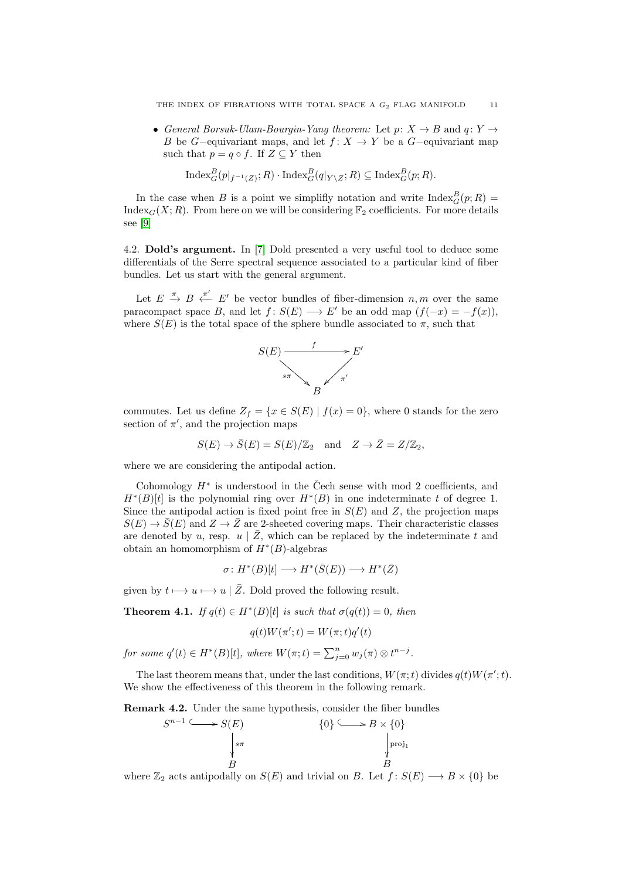• General Borsuk-Ulam-Bourgin-Yang theorem: Let  $p: X \to B$  and  $q: Y \to Y$ B be G-equivariant maps, and let  $f: X \to Y$  be a G-equivariant map such that  $p = q \circ f$ . If  $Z \subseteq Y$  then

$$
\operatorname{Index}_{G}^{B}(p|_{f^{-1}(Z)}; R) \cdot \operatorname{Index}_{G}^{B}(q|_{Y \setminus Z}; R) \subseteq \operatorname{Index}_{G}^{B}(p; R).
$$

In the case when B is a point we simplifly notation and write  $\text{Index}_{G}^{B}(p; R)$  = Index<sub>G</sub> $(X; R)$ . From here on we will be considering  $\mathbb{F}_2$  coefficients. For more details see [\[9\]](#page-19-12)

<span id="page-10-1"></span>4.2. Dold's argument. In [\[7\]](#page-19-13) Dold presented a very useful tool to deduce some differentials of the Serre spectral sequence associated to a particular kind of fiber bundles. Let us start with the general argument.

Let  $E \stackrel{\pi}{\rightarrow} B \stackrel{\pi'}{\leftarrow} E'$  be vector bundles of fiber-dimension  $n, m$  over the same paracompact space B, and let  $f: S(E) \longrightarrow E'$  be an odd map  $(f(-x) = -f(x)),$ where  $S(E)$  is the total space of the sphere bundle associated to  $\pi$ , such that



commutes. Let us define  $Z_f = \{x \in S(E) \mid f(x) = 0\}$ , where 0 stands for the zero section of  $\pi'$ , and the projection maps

$$
S(E) \to \overline{S}(E) = S(E)/\mathbb{Z}_2
$$
 and  $Z \to \overline{Z} = Z/\mathbb{Z}_2$ ,

where we are considering the antipodal action.

Cohomology  $H^*$  is understood in the Čech sense with mod 2 coefficients, and  $H^*(B)[t]$  is the polynomial ring over  $H^*(B)$  in one indeterminate t of degree 1. Since the antipodal action is fixed point free in  $S(E)$  and Z, the projection maps  $S(E) \rightarrow \overline{S}(E)$  and  $Z \rightarrow \overline{Z}$  are 2-sheeted covering maps. Their characteristic classes are denoted by u, resp.  $u \mid \bar{Z}$ , which can be replaced by the indeterminate t and obtain an homomorphism of  $H^*(B)$ -algebras

$$
\sigma\colon H^*(B)[t]\longrightarrow H^*(\bar{S}(E))\longrightarrow H^*(\bar{Z})
$$

given by  $t \mapsto u \mapsto u | \overline{Z}$ . Dold proved the following result.

<span id="page-10-0"></span>**Theorem 4.1.** If  $q(t) \in H^*(B)[t]$  is such that  $\sigma(q(t)) = 0$ , then

$$
q(t)W(\pi';t) = W(\pi;t)q'(t)
$$

for some  $q'(t) \in H^*(B)[t]$ , where  $W(\pi;t) = \sum_{j=0}^n w_j(\pi) \otimes t^{n-j}$ .

The last theorem means that, under the last conditions,  $W(\pi; t)$  divides  $q(t)W(\pi'; t)$ . We show the effectiveness of this theorem in the following remark.

Remark 4.2. Under the same hypothesis, consider the fiber bundles



where  $\mathbb{Z}_2$  acts antipodally on  $S(E)$  and trivial on B. Let  $f: S(E) \longrightarrow B \times \{0\}$  be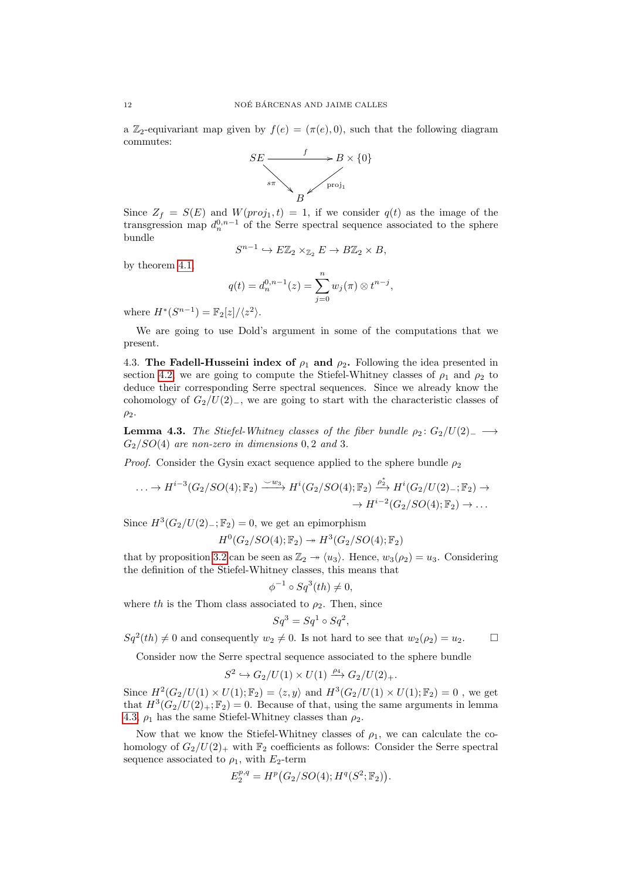a Z<sub>2</sub>-equivariant map given by  $f(e) = (\pi(e), 0)$ , such that the following diagram commutes:



Since  $Z_f = S(E)$  and  $W(proj_1, t) = 1$ , if we consider  $q(t)$  as the image of the transgression map  $d_n^{0,n-1}$  of the Serre spectral sequence associated to the sphere bundle

$$
S^{n-1} \hookrightarrow E\mathbb{Z}_2 \times_{\mathbb{Z}_2} E \to B\mathbb{Z}_2 \times B,
$$

by theorem [4.1,](#page-10-0)

$$
q(t) = d_n^{0,n-1}(z) = \sum_{j=0}^n w_j(\pi) \otimes t^{n-j},
$$

where  $H^*(S^{n-1}) = \mathbb{F}_2[z]/\langle z^2 \rangle$ .

We are going to use Dold's argument in some of the computations that we present.

<span id="page-11-0"></span>4.3. The Fadell-Husseini index of  $\rho_1$  and  $\rho_2$ . Following the idea presented in section [4.2,](#page-10-1) we are going to compute the Stiefel-Whitney classes of  $\rho_1$  and  $\rho_2$  to deduce their corresponding Serre spectral sequences. Since we already know the cohomology of  $G_2/U(2)$ <sub>−</sub>, we are going to start with the characteristic classes of  $\rho_2$ .

<span id="page-11-1"></span>**Lemma 4.3.** The Stiefel-Whitney classes of the fiber bundle  $\rho_2$ :  $G_2/U(2)_-\longrightarrow$  $G_2/SO(4)$  are non-zero in dimensions 0, 2 and 3.

*Proof.* Consider the Gysin exact sequence applied to the sphere bundle  $\rho_2$ 

$$
\ldots \to H^{i-3}(G_2/SO(4); \mathbb{F}_2) \xrightarrow{\smile w_3} H^i(G_2/SO(4); \mathbb{F}_2) \xrightarrow{\rho_2^*} H^i(G_2/U(2)_-; \mathbb{F}_2) \to
$$

$$
\to H^{i-2}(G_2/SO(4); \mathbb{F}_2) \to \ldots
$$

Since  $H^3(G_2/U(2)_{-}; \mathbb{F}_2) = 0$ , we get an epimorphism

$$
H^0(G_2/SO(4); \mathbb{F}_2) \rightarrow H^3(G_2/SO(4); \mathbb{F}_2)
$$

that by proposition [3.2](#page-4-1) can be seen as  $\mathbb{Z}_2 \rightarrow \langle u_3 \rangle$ . Hence,  $w_3(\rho_2) = u_3$ . Considering the definition of the Stiefel-Whitney classes, this means that

$$
\phi^{-1} \circ Sq^3(th) \neq 0,
$$

where th is the Thom class associated to  $\rho_2$ . Then, since

$$
Sq^3 = Sq^1 \circ Sq^2,
$$

 $Sq^2(th) \neq 0$  and consequently  $w_2 \neq 0$ . Is not hard to see that  $w_2(\rho_2) = u_2$ .

Consider now the Serre spectral sequence associated to the sphere bundle

$$
S^2\hookrightarrow G_2/U(1)\times U(1)\xrightarrow{\rho_4} G_2/U(2)_+.
$$

Since  $H^2(G_2/U(1) \times U(1); \mathbb{F}_2) = \langle z, y \rangle$  and  $H^3(G_2/U(1) \times U(1); \mathbb{F}_2) = 0$ , we get that  $H^3(G_2/U(2)_+;\mathbb{F}_2)=0$ . Because of that, using the same arguments in lemma [4.3,](#page-11-1)  $\rho_1$  has the same Stiefel-Whitney classes than  $\rho_2$ .

Now that we know the Stiefel-Whitney classes of  $\rho_1$ , we can calculate the cohomology of  $G_2/U(2)_+$  with  $\mathbb{F}_2$  coefficients as follows: Consider the Serre spectral sequence associated to  $\rho_1$ , with  $E_2$ -term

$$
E_2^{p,q} = H^p(G_2/SO(4); H^q(S^2; \mathbb{F}_2)).
$$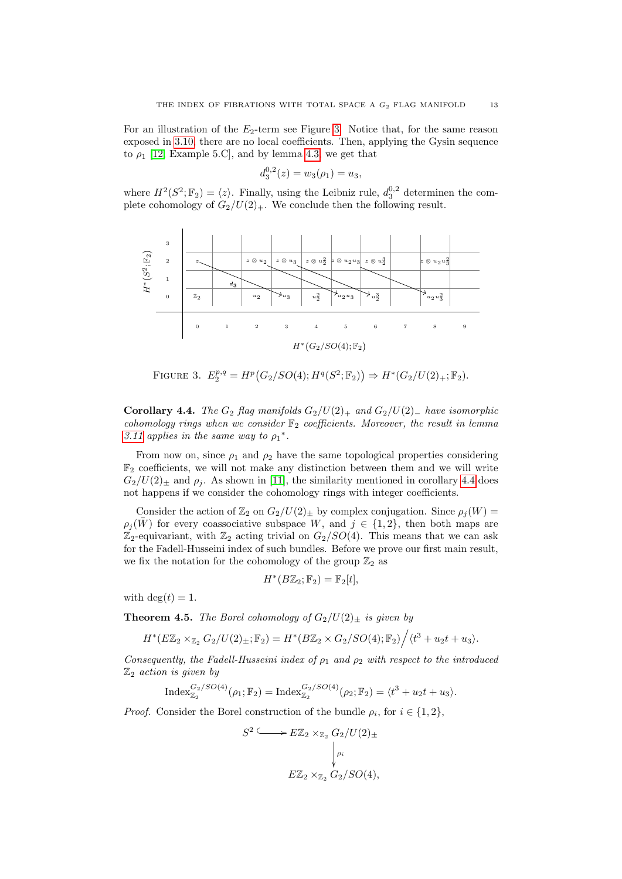For an illustration of the  $E_2$ -term see Figure [3.](#page-12-1) Notice that, for the same reason exposed in [3.10,](#page-7-1) there are no local coefficients. Then, applying the Gysin sequence to  $\rho_1$  [\[12,](#page-19-14) Example 5.C], and by lemma [4.3,](#page-11-1) we get that

$$
d_3^{0,2}(z) = w_3(\rho_1) = u_3,
$$

where  $H^2(S^2; \mathbb{F}_2) = \langle z \rangle$ . Finally, using the Leibniz rule,  $d_3^{0,2}$  determinen the complete cohomology of  $G_2/U(2)_+$ . We conclude then the following result.

<span id="page-12-1"></span>

FIGURE 3.  $E_2^{p,q} = H^p(G_2/SO(4); H^q(S^2; \mathbb{F}_2)) \Rightarrow H^*(G_2/U(2)_+; \mathbb{F}_2).$ 

<span id="page-12-2"></span>Corollary 4.4. The  $G_2$  flag manifolds  $G_2/U(2)_+$  and  $G_2/U(2)_-$  have isomorphic cohomology rings when we consider  $\mathbb{F}_2$  coefficients. Moreover, the result in lemma [3.11](#page-8-1) applies in the same way to  $\rho_1^*$ .

From now on, since  $\rho_1$  and  $\rho_2$  have the same topological properties considering  $\mathbb{F}_2$  coefficients, we will not make any distinction between them and we will write  $G_2/U(2)_\pm$  and  $\rho_i$ . As shown in [\[11\]](#page-19-7), the similarity mentioned in corollary [4.4](#page-12-2) does not happens if we consider the cohomology rings with integer coefficients.

Consider the action of  $\mathbb{Z}_2$  on  $G_2/U(2)_\pm$  by complex conjugation. Since  $\rho_i(W)$  =  $\rho_i(\bar{W})$  for every coassociative subspace W, and  $j \in \{1,2\}$ , then both maps are  $\mathbb{Z}_2$ -equivariant, with  $\mathbb{Z}_2$  acting trivial on  $G_2/SO(4)$ . This means that we can ask for the Fadell-Husseini index of such bundles. Before we prove our first main result, we fix the notation for the cohomology of the group  $\mathbb{Z}_2$  as

$$
H^*(B\mathbb{Z}_2;\mathbb{F}_2)=\mathbb{F}_2[t],
$$

with  $\deg(t) = 1$ .

<span id="page-12-0"></span>**Theorem 4.5.** The Borel cohomology of  $G_2/U(2)_\pm$  is given by

$$
H^*(E\mathbb{Z}_2\times_{\mathbb{Z}_2}G_2/U(2)_\pm;\mathbb{F}_2)=H^*(B\mathbb{Z}_2\times G_2/SO(4);\mathbb{F}_2)\Big/\langle t^3+u_2t+u_3\rangle.
$$

Consequently, the Fadell-Husseini index of  $\rho_1$  and  $\rho_2$  with respect to the introduced  $\mathbb{Z}_2$  action is given by

$$
\mathrm{Index}_{\mathbb{Z}_2}^{G_2/SO(4)}(\rho_1;\mathbb{F}_2) = \mathrm{Index}_{\mathbb{Z}_2}^{G_2/SO(4)}(\rho_2;\mathbb{F}_2) = \langle t^3 + u_2t + u_3 \rangle.
$$

*Proof.* Consider the Borel construction of the bundle  $\rho_i$ , for  $i \in \{1, 2\}$ ,

$$
S^2 \xrightarrow{\qquad} E\mathbb{Z}_2 \times_{\mathbb{Z}_2} G_2/U(2)_\pm
$$

$$
\downarrow_{\rho_i}
$$

$$
E\mathbb{Z}_2 \times_{\mathbb{Z}_2} G_2/SO(4),
$$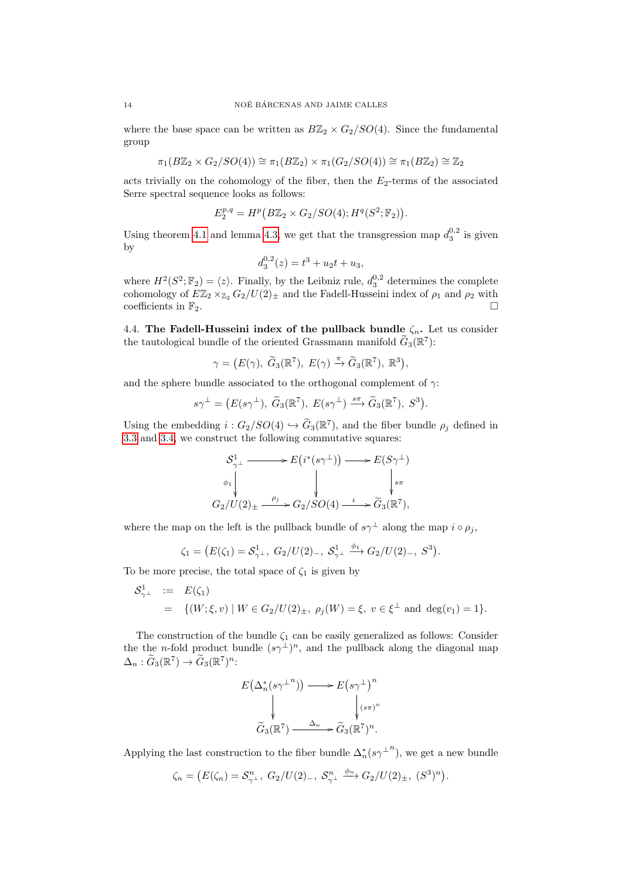where the base space can be written as  $B\mathbb{Z}_2 \times G_2/SO(4)$ . Since the fundamental group

$$
\pi_1(B\mathbb{Z}_2 \times G_2/SO(4)) \cong \pi_1(B\mathbb{Z}_2) \times \pi_1(G_2/SO(4)) \cong \pi_1(B\mathbb{Z}_2) \cong \mathbb{Z}_2
$$

acts trivially on the cohomology of the fiber, then the  $E_2$ -terms of the associated Serre spectral sequence looks as follows:

$$
E_2^{p,q} = H^p\big(B\mathbb{Z}_2\times G_2/SO(4);H^q(S^2;\mathbb{F}_2)\big).
$$

Using theorem [4.1](#page-10-0) and lemma [4.3,](#page-11-1) we get that the transgression map  $d_3^{0,2}$  is given by

$$
d_3^{0,2}(z) = t^3 + u_2t + u_3,
$$

where  $H^2(S^2; \mathbb{F}_2) = \langle z \rangle$ . Finally, by the Leibniz rule,  $d_3^{0,2}$  determines the complete cohomology of  $E\mathbb{Z}_2 \times_{\mathbb{Z}_2} G_2/U(2)_\pm$  and the Fadell-Husseini index of  $\rho_1$  and  $\rho_2$  with coefficients in  $\mathbb{F}_2$ .

<span id="page-13-0"></span>4.4. The Fadell-Husseini index of the pullback bundle  $\zeta_n$ . Let us consider the tautological bundle of the oriented Grassmann manifold  $\tilde{G}_3(\mathbb{R}^7)$ :

$$
\gamma = (E(\gamma), \ \widetilde{G}_3(\mathbb{R}^7), \ E(\gamma) \xrightarrow{\pi} \widetilde{G}_3(\mathbb{R}^7), \ \mathbb{R}^3),
$$

and the sphere bundle associated to the orthogonal complement of  $\gamma$ :

$$
s\gamma^{\perp} = (E(s\gamma^{\perp}), \ \widetilde{G}_3(\mathbb{R}^7), \ E(s\gamma^{\perp}) \stackrel{s\pi}{\longrightarrow} \widetilde{G}_3(\mathbb{R}^7), \ S^3).
$$

Using the embedding  $i : G_2/SO(4) \hookrightarrow G_3(\mathbb{R}^7)$ , and the fiber bundle  $\rho_j$  defined in [3.3](#page-5-0) and [3.4,](#page-6-1) we construct the following commutative squares:

$$
\begin{aligned}\n\mathcal{S}_{\gamma^{\perp}}^1 &\longrightarrow E\big(i^*(s\gamma^{\perp})\big) \longrightarrow E(S\gamma^{\perp}) \\
\downarrow \qquad &\downarrow \qquad &\downarrow \qquad &\downarrow s\pi \\
G_2/U(2)_{\pm} &\xrightarrow{\rho_j} G_2/SO(4) \xrightarrow{i} \widetilde{G}_3(\mathbb{R}^7),\n\end{aligned}
$$

where the map on the left is the pullback bundle of  $s\gamma^{\perp}$  along the map  $i \circ \rho_j$ ,

$$
\zeta_1 = (E(\zeta_1) = S_{\gamma^\perp}^1, G_2/U(2)_-, S_{\gamma^\perp}^1 \xrightarrow{\phi_1} G_2/U(2)_-, S^3).
$$

To be more precise, the total space of  $\zeta_1$  is given by

$$
\begin{array}{rcl}\n\mathcal{S}_{\gamma^{\perp}}^1 & := & E(\zeta_1) \\
& = & \{ (W; \xi, v) \mid W \in G_2 / U(2)_\pm, \ \rho_j(W) = \xi, \ v \in \xi^\perp \ \text{and} \ \deg(v_1) = 1 \}.\n\end{array}
$$

The construction of the bundle  $\zeta_1$  can be easily generalized as follows: Consider the the *n*-fold product bundle  $(s\gamma^{\perp})^n$ , and the pullback along the diagonal map  $\Delta_n: \tilde{G}_3(\mathbb{R}^7) \to \tilde{G}_3(\mathbb{R}^7)^n$ :

$$
E(\Delta_n^*(s\gamma^{\perp n})) \longrightarrow E(s\gamma^{\perp})^n
$$
  
\n
$$
\downarrow \qquad \qquad \downarrow (s\pi)^n
$$
  
\n
$$
\widetilde{G}_3(\mathbb{R}^7) \xrightarrow{\Delta_n} \widetilde{G}_3(\mathbb{R}^7)^n.
$$

Applying the last construction to the fiber bundle  $\Delta_n^*(s\gamma^{\perp n})$ , we get a new bundle

$$
\zeta_n = (E(\zeta_n) = S_{\gamma^{\perp}}^n, G_2/U(2)_{-}, S_{\gamma^{\perp}}^n \xrightarrow{\phi_n} G_2/U(2)_{\pm}, (S^3)^n).
$$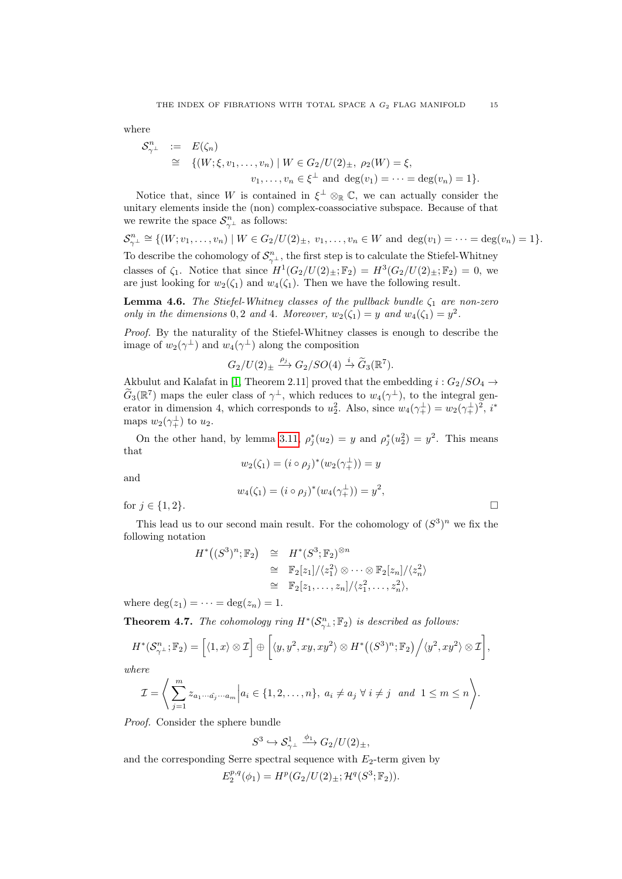where

$$
\begin{array}{rcl}\n\mathcal{S}_{\gamma^{\perp}}^{n} & := & E(\zeta_n) \\
& \cong & \{ (W; \xi, v_1, \dots, v_n) \mid W \in G_2 / U(2)_{\pm}, \ \rho_2(W) = \xi, \\
& v_1, \dots, v_n \in \xi^{\perp} \ \text{and} \ \deg(v_1) = \dots = \deg(v_n) = 1 \}.\n\end{array}
$$

Notice that, since W is contained in  $\xi^{\perp} \otimes_{\mathbb{R}} \mathbb{C}$ , we can actually consider the unitary elements inside the (non) complex-coassociative subspace. Because of that we rewrite the space  $\mathcal{S}_{\gamma^{\perp}}^{n}$  as follows:

$$
\mathcal{S}_{\gamma^{\perp}}^{n} \cong \{(W; v_1, \ldots, v_n) \mid W \in G_2/U(2)_{\pm}, v_1, \ldots, v_n \in W \text{ and } \deg(v_1) = \cdots = \deg(v_n) = 1\}.
$$
  
To describe the cohomology of  $\mathcal{S}_{\gamma^{\perp}}^{n}$ , the first step is to calculate the Stiefel-Whitney  
classes of  $\zeta_1$ . Notice that since  $H^1(G_2/U(2)_{\pm}; \mathbb{F}_2) = H^3(G_2/U(2)_{\pm}; \mathbb{F}_2) = 0$ , we  
are just looking for  $w_2(\zeta_1)$  and  $w_4(\zeta_1)$ . Then we have the following result.

<span id="page-14-1"></span>**Lemma 4.6.** The Stiefel-Whitney classes of the pullback bundle  $\zeta_1$  are non-zero only in the dimensions 0, 2 and 4. Moreover,  $w_2(\zeta_1) = y$  and  $w_4(\zeta_1) = y^2$ .

Proof. By the naturality of the Stiefel-Whitney classes is enough to describe the image of  $w_2(\gamma^{\perp})$  and  $w_4(\gamma^{\perp})$  along the composition

$$
G_2/U(2)_{\pm} \xrightarrow{\rho_j} G_2/SO(4) \xrightarrow{i} \widetilde{G}_3(\mathbb{R}^7).
$$

Akbulut and Kalafat in [\[1,](#page-19-6) Theorem 2.11] proved that the embedding  $i : G_2/SO_4 \rightarrow$  $\tilde{G}_3(\mathbb{R}^7)$  maps the euler class of  $\gamma^{\perp}$ , which reduces to  $w_4(\gamma^{\perp})$ , to the integral generator in dimension 4, which corresponds to  $u_2^2$ . Also, since  $w_4(\gamma_+^{\perp}) = w_2(\gamma_+^{\perp})^2$ ,  $i^*$ maps  $w_2(\gamma_+^{\perp})$  to  $u_2$ .

On the other hand, by lemma [3.11,](#page-8-1)  $\rho_j^*(u_2) = y$  and  $\rho_j^*(u_2^2) = y^2$ . This means that

$$
w_2(\zeta_1) = (i \circ \rho_j)^*(w_2(\gamma_+^{\perp})) = y
$$

and

$$
w_4(\zeta_1) = (i \circ \rho_j)^*(w_4(\gamma_+^{\perp})) = y^2,
$$

for  $j \in \{1,2\}$ .

This lead us to our second main result. For the cohomology of 
$$
(S^3)^n
$$
 we fix the following notation

$$
H^*\big((S^3)^n; \mathbb{F}_2\big) \cong H^*(S^3; \mathbb{F}_2)^{\otimes n}
$$
  
\n
$$
\cong \mathbb{F}_2[z_1]/\langle z_1^2 \rangle \otimes \cdots \otimes \mathbb{F}_2[z_n]/\langle z_n^2 \rangle
$$
  
\n
$$
\cong \mathbb{F}_2[z_1, \ldots, z_n]/\langle z_1^2, \ldots, z_n^2 \rangle,
$$

where  $\deg(z_1) = \cdots = \deg(z_n) = 1$ .

<span id="page-14-0"></span>**Theorem 4.7.** The cohomology ring  $H^*(\mathcal{S}_{\gamma}^n;\mathbb{F}_2)$  is described as follows:

$$
H^*(\mathcal{S}_{\gamma^{\perp}}^n; \mathbb{F}_2) = \left[ \langle 1, x \rangle \otimes \mathcal{I} \right] \oplus \left[ \langle y, y^2, xy, xy^2 \rangle \otimes H^*\big( (S^3)^n; \mathbb{F}_2 \big) \Big/ \langle y^2, xy^2 \rangle \otimes \mathcal{I} \right],
$$

where

$$
\mathcal{I} = \Bigg\langle \sum_{j=1}^m z_{a_1 \cdots \hat{a_j} \cdots a_m} \Big| a_i \in \{1, 2, \ldots, n\}, \ a_i \neq a_j \ \forall \ i \neq j \ \ and \ 1 \leq m \leq n \Bigg\rangle.
$$

Proof. Consider the sphere bundle

$$
S^3 \hookrightarrow \mathcal{S}_{\gamma^\perp}^1 \xrightarrow{\phi_1} G_2/U(2)_\pm,
$$

and the corresponding Serre spectral sequence with  $E_2$ -term given by

$$
E_2^{p,q}(\phi_1) = H^p(G_2/U(2)_{\pm}; \mathcal{H}^q(S^3; \mathbb{F}_2)).
$$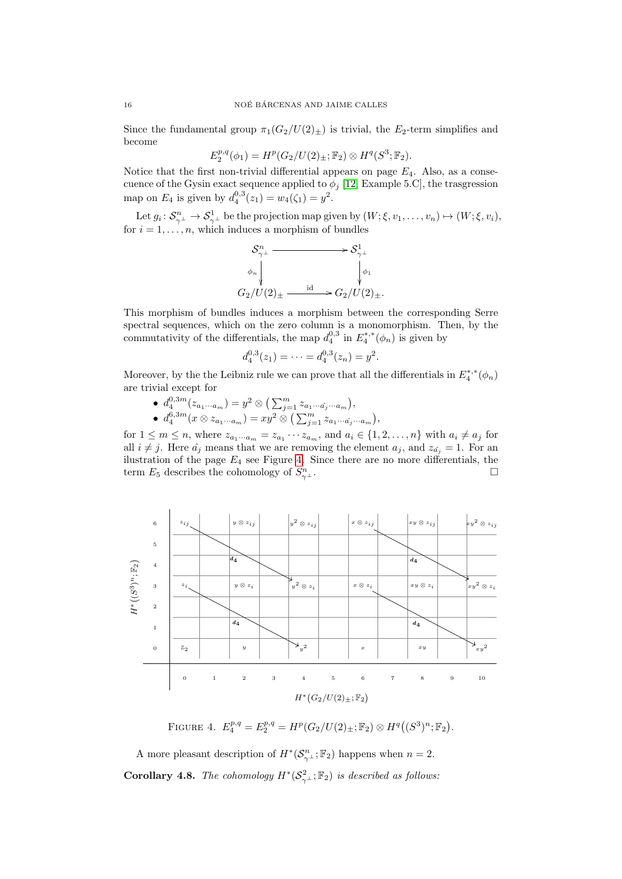Since the fundamental group  $\pi_1(G_2/U(2)_\pm)$  is trivial, the  $E_2$ -term simplifies and become

$$
E_2^{p,q}(\phi_1) = H^p(G_2/U(2)_{\pm};\mathbb{F}_2) \otimes H^q(S^3;\mathbb{F}_2).
$$

Notice that the first non-trivial differential appears on page  $E_4$ . Also, as a consecuence of the Gysin exact sequence applied to  $\phi_j$  [\[12,](#page-19-14) Example 5.C], the trasgression map on  $E_4$  is given by  $d_4^{0,3}(z_1) = w_4(\zeta_1) = y^2$ .

Let  $g_i \colon \mathcal{S}_{\gamma^\perp}^n \to \mathcal{S}_{\gamma^\perp}^1$  be the projection map given by  $(W; \xi, v_1, \ldots, v_n) \mapsto (W; \xi, v_i)$ , for  $i = 1, \ldots, n$ , which induces a morphism of bundles

$$
\begin{array}{ccc}\n\mathcal{S}_{\gamma^{\perp}}^{n} & \longrightarrow & \mathcal{S}_{\gamma^{\perp}}^{1} \\
\phi_{n} & & \downarrow \\
G_{2}/U(2)_{\pm} & & \downarrow \\
\end{array}
$$
\n
$$
G_{2}/U(2)_{\pm}
$$
\n
$$
\xrightarrow{\mathrm{id}} G_{2}/U(2)_{\pm}.
$$

This morphism of bundles induces a morphism between the corresponding Serre spectral sequences, which on the zero column is a monomorphism. Then, by the commutativity of the differentials, the map  $d_4^{0,3}$  in  $E_4^{*,*}(\phi_n)$  is given by

$$
d_4^{0,3}(z_1) = \cdots = d_4^{0,3}(z_n) = y^2.
$$

Moreover, by the the Leibniz rule we can prove that all the differentials in  $E_4^{*,*}(\phi_n)$ are trivial except for

•  $d_4^{0,3m}(z_{a_1\cdots a_m}) = y^2 \otimes (\sum_{j=1}^m z_{a_1\cdots a_j\cdots a_m}),$ •  $d_4^{6,3m}(x \otimes z_{a_1 \cdots a_m}) = xy^2 \otimes (\sum_{j=1}^m z_{a_1 \cdots \hat{a_j} \cdots a_m}),$ 

for  $1 \leq m \leq n$ , where  $z_{a_1 \cdots a_m} = z_{a_1} \cdots z_{a_m}$ , and  $a_i \in \{1, 2, \ldots, n\}$  with  $a_i \neq a_j$  for all  $i \neq j$ . Here  $\hat{a}_j$  means that we are removing the element  $a_j$ , and  $z_{\hat{a}_j} = 1$ . For an ilustration of the page  $E_4$  see Figure [4.](#page-15-0) Since there are no more differentials, the term  $E_5$  describes the cohomology of  $S_\gamma^n$  $\frac{m}{\gamma^{\perp}}$ .

<span id="page-15-0"></span>

FIGURE 4.  $E_4^{p,q} = E_2^{p,q} = H^p(G_2/U(2)_\pm; \mathbb{F}_2) \otimes H^q((S^3)^n; \mathbb{F}_2).$ 

A more pleasant description of  $H^*(\mathcal{S}_{\gamma}^n; \mathbb{F}_2)$  happens when  $n = 2$ . **Corollary 4.8.** The cohomology  $H^*(S^2_{\gamma^{\perp}}; \mathbb{F}_2)$  is described as follows: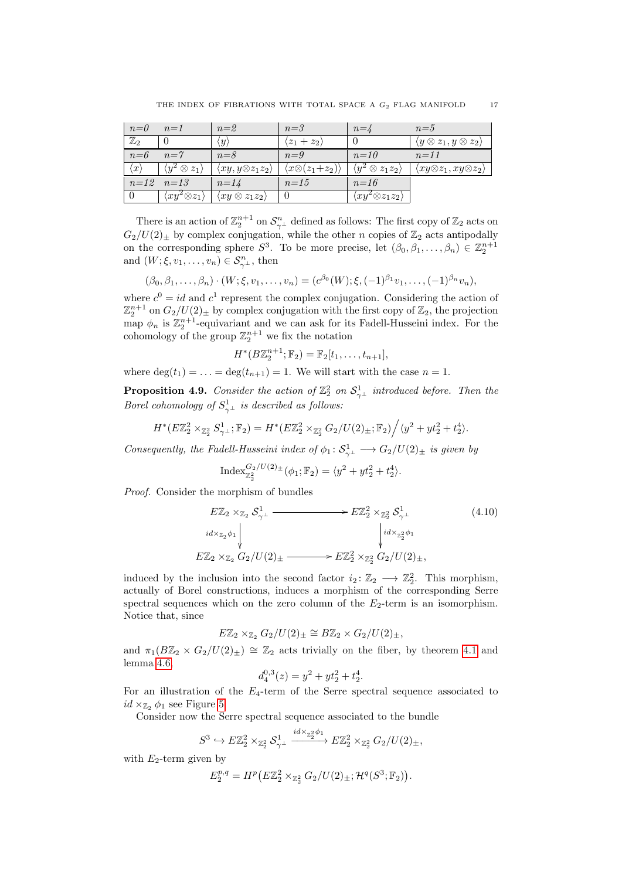| $n=0$               | $n=1$                              | $n=2$                                | $n = 3$                            | $n = 4$                                | $n=5$                                          |
|---------------------|------------------------------------|--------------------------------------|------------------------------------|----------------------------------------|------------------------------------------------|
| $\mathbb{Z}_2$      |                                    | $\overline{y}$                       | $(z_1 + z_2)$                      |                                        | $\langle y \otimes z_1, y \otimes z_2 \rangle$ |
| $n=6$               | $n = 7$                            | $n = 8$                              | $n=9$                              | $n=10$                                 | $n = 11$                                       |
| $\langle x \rangle$ | $\langle y^2\otimes z_1\rangle$    | $\langle xy, y\otimes z_1z_2\rangle$ | $\langle x\otimes(z_1+z_2)\rangle$ | $\langle y^2 \otimes z_1 z_2 \rangle$  | $\langle xy\otimes z_1, xy\otimes z_2 \rangle$ |
|                     | $n=12$   $n=13$                    | $n=14$                               | $n=15$                             | $n=16$                                 |                                                |
|                     | $\langle xy^2 \otimes z_1 \rangle$ | $\langle xy \otimes z_1 z_2 \rangle$ |                                    | $\langle xy^2 \otimes z_1 z_2 \rangle$ |                                                |

There is an action of  $\mathbb{Z}_2^{n+1}$  on  $\mathcal{S}_{\gamma^\perp}^n$  defined as follows: The first copy of  $\mathbb{Z}_2$  acts on  $G_2/U(2)_\pm$  by complex conjugation, while the other n copies of  $\mathbb{Z}_2$  acts antipodally on the corresponding sphere  $S^3$ . To be more precise, let  $(\beta_0, \beta_1, \ldots, \beta_n) \in \mathbb{Z}_2^{n+1}$ and  $(W; \xi, v_1, \ldots, v_n) \in S_{\gamma^{\perp}}^n$ , then

$$
(\beta_0, \beta_1, \ldots, \beta_n) \cdot (W; \xi, v_1, \ldots, v_n) = (c^{\beta_0}(W); \xi, (-1)^{\beta_1}v_1, \ldots, (-1)^{\beta_n}v_n),
$$

where  $c^0 = id$  and  $c^1$  represent the complex conjugation. Considering the action of  $\mathbb{Z}_2^{n+1}$  on  $G_2/U(2)_\pm$  by complex conjugation with the first copy of  $\mathbb{Z}_2$ , the projection map  $\phi_n$  is  $\mathbb{Z}_2^{n+1}$ -equivariant and we can ask for its Fadell-Husseini index. For the cohomology of the group  $\mathbb{Z}_2^{n+1}$  we fix the notation

$$
H^*(B\mathbb{Z}_2^{n+1}; \mathbb{F}_2) = \mathbb{F}_2[t_1, \ldots, t_{n+1}],
$$

where  $\deg(t_1) = \ldots = \deg(t_{n+1}) = 1$ . We will start with the case  $n = 1$ .

<span id="page-16-0"></span>**Proposition 4.9.** Consider the action of  $\mathbb{Z}_2^2$  on  $\mathcal{S}_{\gamma^{\perp}}^1$  introduced before. Then the Borel cohomology of  $S^1_{\gamma}$  is described as follows:

$$
H^*(E\mathbb{Z}_2^2 \times_{\mathbb{Z}_2^2} S_{\gamma^\perp}^1; \mathbb{F}_2) = H^*(E\mathbb{Z}_2^2 \times_{\mathbb{Z}_2^2} G_2/U(2)_\pm; \mathbb{F}_2) / \langle y^2 + yt_2^2 + t_2^4 \rangle.
$$

Consequently, the Fadell-Husseini index of  $\phi_1: \mathcal{S}^1_{\gamma^\perp} \longrightarrow G_2/U(2)_\pm$  is given by

$$
\operatorname{Index}_{\mathbb{Z}_2^2}^{G_2/U(2)_\pm}(\phi_1;\mathbb{F}_2) = \langle y^2 + yt_2^2 + t_2^4 \rangle.
$$

Proof. Consider the morphism of bundles

$$
E\mathbb{Z}_2 \times_{\mathbb{Z}_2} S^1_{\gamma^\perp} \xrightarrow{\qquad \qquad} E\mathbb{Z}_2^2 \times_{\mathbb{Z}_2^2} S^1_{\gamma^\perp}
$$
\n
$$
\downarrow^{id \times_{\mathbb{Z}_2} \phi_1} \qquad \qquad \downarrow^{id \times_{\mathbb{Z}_2^2} \phi_1} \qquad \qquad (4.10)
$$
\n
$$
E\mathbb{Z}_2 \times_{\mathbb{Z}_2} G_2/U(2)_\pm \xrightarrow{\qquad \qquad} E\mathbb{Z}_2^2 \times_{\mathbb{Z}_2^2} G_2/U(2)_\pm,
$$

induced by the inclusion into the second factor  $i_2: \mathbb{Z}_2 \longrightarrow \mathbb{Z}_2^2$ . This morphism, actually of Borel constructions, induces a morphism of the corresponding Serre spectral sequences which on the zero column of the  $E_2$ -term is an isomorphism. Notice that, since

$$
E\mathbb{Z}_2 \times_{\mathbb{Z}_2} G_2/U(2)_{\pm} \cong B\mathbb{Z}_2 \times G_2/U(2)_{\pm},
$$

and  $\pi_1(B\mathbb{Z}_2 \times G_2/U(2)_\pm) \cong \mathbb{Z}_2$  acts trivially on the fiber, by theorem [4.1](#page-10-0) and lemma [4.6,](#page-14-1)

$$
d_4^{0,3}(z) = y^2 + yt_2^2 + t_2^4.
$$

For an illustration of the  $E_4$ -term of the Serre spectral sequence associated to  $id \times_{\mathbb{Z}_2} \phi_1$  see Figure [5.](#page-17-1)

Consider now the Serre spectral sequence associated to the bundle

$$
S^3 \hookrightarrow E\mathbb{Z}_2^2 \times_{\mathbb{Z}_2^2} S_{\gamma\perp}^1 \xrightarrow{id \times_{\mathbb{Z}_2^2} \phi_1} E\mathbb{Z}_2^2 \times_{\mathbb{Z}_2^2} G_2/U(2)_\pm,
$$

with  $E_2$ -term given by

$$
E_2^{p,q} = H^p(E\mathbb{Z}_2^2 \times_{\mathbb{Z}_2^2} G_2/U(2)_{\pm}; \mathcal{H}^q(S^3; \mathbb{F}_2)).
$$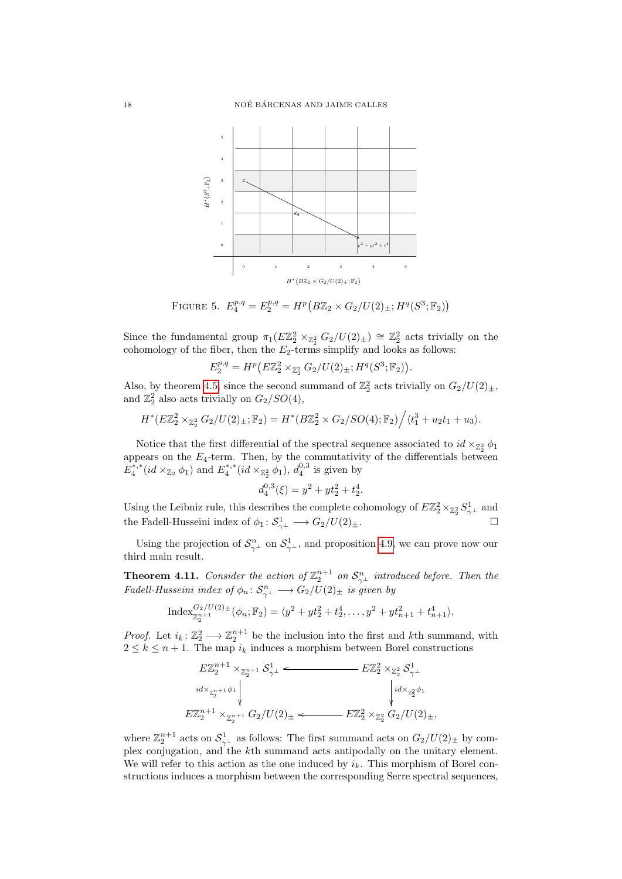<span id="page-17-1"></span>

FIGURE 5.  $E_4^{p,q} = E_2^{p,q} = H^p(B\mathbb{Z}_2 \times G_2/U(2)_{\pm}; H^q(S^3; \mathbb{F}_2))$ 

Since the fundamental group  $\pi_1(E\mathbb{Z}_2^2 \times_{\mathbb{Z}_2^2} G_2/U(2)_\pm) \cong \mathbb{Z}_2^2$  acts trivially on the cohomology of the fiber, then the  $E_2$ -terms simplify and looks as follows:

$$
E_2^{p,q} = H^p(E\mathbb{Z}_2^2 \times_{\mathbb{Z}_2^2} G_2/U(2)_{\pm}; H^q(S^3; \mathbb{F}_2)).
$$

Also, by theorem [4.5,](#page-12-0) since the second summand of  $\mathbb{Z}_2^2$  acts trivially on  $G_2/U(2)_\pm$ , and  $\mathbb{Z}_2^2$  also acts trivially on  $G_2/SO(4)$ ,

$$
H^*(E\mathbb{Z}_2^2 \times_{\mathbb{Z}_2^2} G_2/U(2)_{\pm};\mathbb{F}_2) = H^*(B\mathbb{Z}_2^2 \times G_2/SO(4);\mathbb{F}_2) \Big/ \langle t_1^3 + u_2 t_1 + u_3 \rangle.
$$

Notice that the first differential of the spectral sequence associated to  $id \times_{\mathbb{Z}_2^2} \phi_1$ appears on the  $E_4$ -term. Then, by the commutativity of the differentials between  $E_4^{*,*}(id \times_{\mathbb{Z}_2} \phi_1)$  and  $E_4^{*,*}(id \times_{\mathbb{Z}_2^2} \phi_1)$ ,  $d_4^{0,3}$  is given by

$$
d_4^{0,3}(\xi) = y^2 + yt_2^2 + t_2^4.
$$

Using the Leibniz rule, this describes the complete cohomology of  $E\mathbb{Z}_2^2 \times_{\mathbb{Z}_2^2} S^1_{\gamma^\perp}$  and the Fadell-Husseini index of  $\phi_1: \mathcal{S}_{\gamma^{\perp}}^1 \longrightarrow G_2/U(2)_{\pm}.$ 

Using the projection of  $\mathcal{S}_{\gamma}^n$  on  $\mathcal{S}_{\gamma}^1$ , and proposition [4.9,](#page-16-0) we can prove now our third main result.

<span id="page-17-0"></span>**Theorem 4.11.** Consider the action of  $\mathbb{Z}_2^{n+1}$  on  $\mathcal{S}_{\gamma^{\perp}}^n$  introduced before. Then the Fadell-Husseini index of  $\phi_n \colon \mathcal{S}_{\gamma^\perp}^n \longrightarrow G_2/U(2)_\pm$  is given by

$$
Index_{\mathbb{Z}_2^{n+1}}^{G_2/U(2)_\pm}(\phi_n;\mathbb{F}_2)=\langle y^2+yt_2^2+t_2^4,\ldots,y^2+yt_{n+1}^2+t_{n+1}^4\rangle.
$$

*Proof.* Let  $i_k: \mathbb{Z}_2^2 \longrightarrow \mathbb{Z}_2^{n+1}$  be the inclusion into the first and kth summand, with  $2 \leq k \leq n+1$ . The map  $i_k$  induces a morphism between Borel constructions

$$
\begin{array}{c}\nE\mathbb{Z}_{2}^{n+1} \times_{\mathbb{Z}_{2}^{n+1}} \mathcal{S}_{\gamma^{\perp}}^{1} \longleftarrow & E\mathbb{Z}_{2}^{2} \times_{\mathbb{Z}_{2}^{2}} \mathcal{S}_{\gamma^{\perp}}^{1} \\
\downarrow^{id \times_{\mathbb{Z}_{2}^{n+1}} \phi_{1}} \downarrow^{id \times_{\mathbb{Z}_{2}^{2} \phi_{1}}} \\
E\mathbb{Z}_{2}^{n+1} \times_{\mathbb{Z}_{2}^{n+1}} G_{2}/U(2)_{\pm} \longleftarrow & E\mathbb{Z}_{2}^{2} \times_{\mathbb{Z}_{2}^{2}} G_{2}/U(2)_{\pm},\n\end{array}
$$

where  $\mathbb{Z}_2^{n+1}$  acts on  $\mathcal{S}_{\gamma^{\perp}}^1$  as follows: The first summand acts on  $G_2/U(2)_{\pm}$  by complex conjugation, and the  $k$ <sup>th</sup> summand acts antipodally on the unitary element. We will refer to this action as the one induced by  $i_k$ . This morphism of Borel constructions induces a morphism between the corresponding Serre spectral sequences,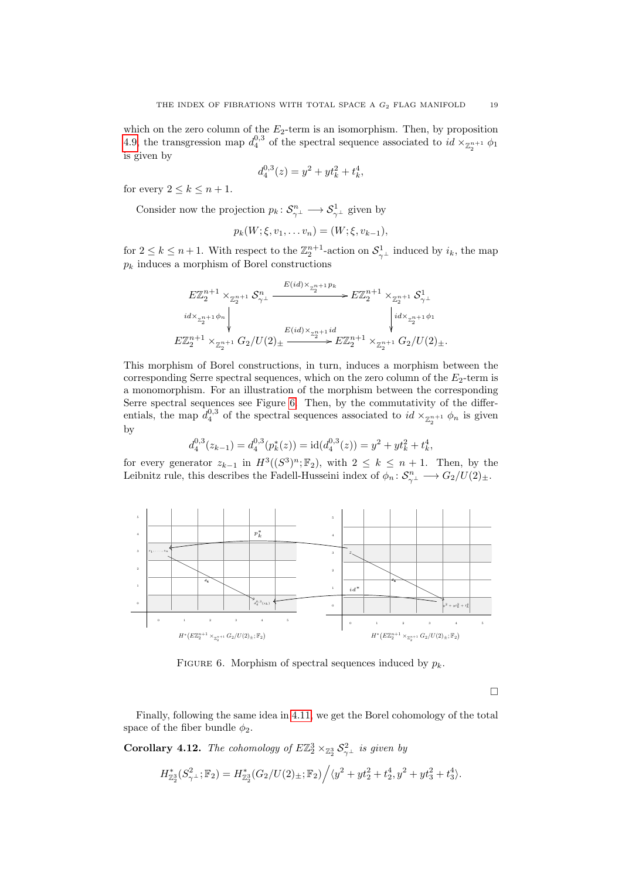which on the zero column of the  $E_2$ -term is an isomorphism. Then, by proposition [4.9,](#page-16-0) the transgression map  $d_4^{0,3}$  of the spectral sequence associated to  $id \times_{\mathbb{Z}_2^{n+1}} \phi_1$ is given by

$$
d_4^{0,3}(z) = y^2 + yt_k^2 + t_k^4,
$$

for every  $2 \leq k \leq n+1$ .

Consider now the projection  $p_k: \mathcal{S}_{\gamma^{\perp}}^n \longrightarrow \mathcal{S}_{\gamma^{\perp}}^1$  given by

d

$$
p_k(W; \xi, v_1, \dots v_n) = (W; \xi, v_{k-1}),
$$

for  $2 \leq k \leq n+1$ . With respect to the  $\mathbb{Z}_2^{n+1}$ -action on  $\mathcal{S}_{\gamma^{\perp}}^1$  induced by  $i_k$ , the map  $p_k$  induces a morphism of Borel constructions

$$
E\mathbb{Z}_{2}^{n+1} \times_{\mathbb{Z}_{2}^{n+1}} \mathcal{S}_{\gamma}^{n} \xrightarrow{E(id) \times_{\mathbb{Z}_{2}^{n+1}} p_{k}} E\mathbb{Z}_{2}^{n+1} \times_{\mathbb{Z}_{2}^{n+1}} \mathcal{S}_{\gamma}^{1}
$$
\n
$$
id \times_{\mathbb{Z}_{2}^{n+1}} \phi_{n} \downarrow \qquad \qquad \downarrow id \times_{\mathbb{Z}_{2}^{n+1}} \phi_{1}
$$
\n
$$
E\mathbb{Z}_{2}^{n+1} \times_{\mathbb{Z}_{2}^{n+1}} G_{2}/U(2) \pm \xrightarrow{E(id) \times_{\mathbb{Z}_{2}^{n+1}} id} E\mathbb{Z}_{2}^{n+1} \times_{\mathbb{Z}_{2}^{n+1}} G_{2}/U(2) \pm \cdots
$$

This morphism of Borel constructions, in turn, induces a morphism between the corresponding Serre spectral sequences, which on the zero column of the  $E_2$ -term is a monomorphism. For an illustration of the morphism between the corresponding Serre spectral sequences see Figure [6.](#page-18-0) Then, by the commutativity of the differentials, the map  $d_4^{0,3}$  of the spectral sequences associated to  $id \times_{\mathbb{Z}_2^{n+1}} \phi_n$  is given by

$$
d_4^{0,3}(z_{k-1}) = d_4^{0,3}(p_k^*(z)) = \mathrm{id}(d_4^{0,3}(z)) = y^2 + yt_k^2 + t_k^4,
$$

for every generator  $z_{k-1}$  in  $H^3((S^3)^n; \mathbb{F}_2)$ , with  $2 \leq k \leq n+1$ . Then, by the Leibnitz rule, this describes the Fadell-Husseini index of  $\phi_n \colon \mathcal{S}_{\gamma}^n \longrightarrow G_2/U(2)_\pm$ .

<span id="page-18-0"></span>

FIGURE 6. Morphism of spectral sequences induced by  $p_k$ .

 $\Box$ 

Finally, following the same idea in [4.11,](#page-17-0) we get the Borel cohomology of the total space of the fiber bundle  $\phi_2$ .

**Corollary 4.12.** The cohomology of  $E\mathbb{Z}_2^3 \times_{\mathbb{Z}_2^3} \mathcal{S}_{\gamma^{\perp}}^2$  is given by

$$
H_{\mathbb{Z}_2^3}^*(S^2_{\gamma^\perp};\mathbb{F}_2) = H_{\mathbb{Z}_2^3}^*(G_2/U(2)_\pm;\mathbb{F}_2)\Big/\langle y^2 + yt_2^2 + t_2^4, y^2 + yt_3^2 + t_3^4\rangle.
$$